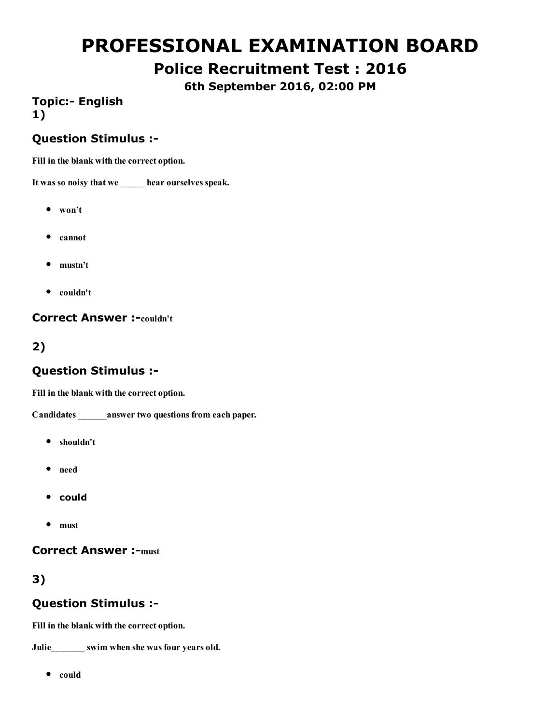# PROFESSIONAL EXAMINATION BOARD

# Police Recruitment Test : 2016

6th September 2016, 02:00 PM

## **Topic:- English** 1)

#### Question Stimulus :

Fill in the blank with the correct option.

It was so noisy that we \_\_\_\_\_ hear ourselves speak.

- won't
- cannot
- mustn't
- $\bullet$  couldn't

**Correct Answer :-couldn't** 

## 2)

#### Question Stimulus :

Fill in the blank with the correct option.

Candidates \_\_\_\_\_\_answer two questions from each paper.

- shouldn't
- need
- could
- must

#### **Correct Answer :- must**

# 3)

#### Question Stimulus :

Fill in the blank with the correct option.

Julie\_\_\_\_\_\_\_ swim when she was four years old.

 $\bullet$  could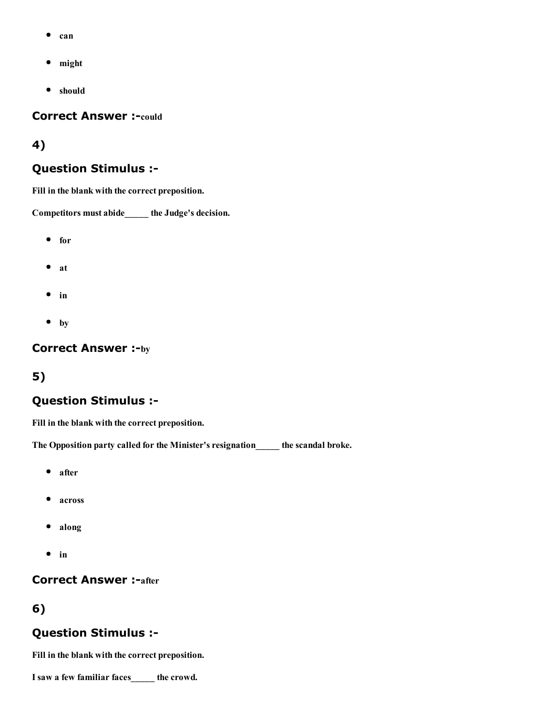- $\bullet$ can
- might  $\bullet$
- should

**Correct Answer :-could** 

#### 4)

#### Question Stimulus :

Fill in the blank with the correct preposition.

Competitors must abide\_\_\_\_\_ the Judge's decision.

- for
- $•$  at
- $\bullet$  in
- $\bullet$  by

#### **Correct Answer :-by**

#### 5)

#### Question Stimulus :

Fill in the blank with the correct preposition.

The Opposition party called for the Minister's resignation\_\_\_\_\_ the scandal broke.

- after
- across
- along  $\bullet$
- $\bullet$  in

#### **Correct Answer :- after**

#### 6)

#### Question Stimulus :

Fill in the blank with the correct preposition.

I saw a few familiar faces\_\_\_\_\_ the crowd.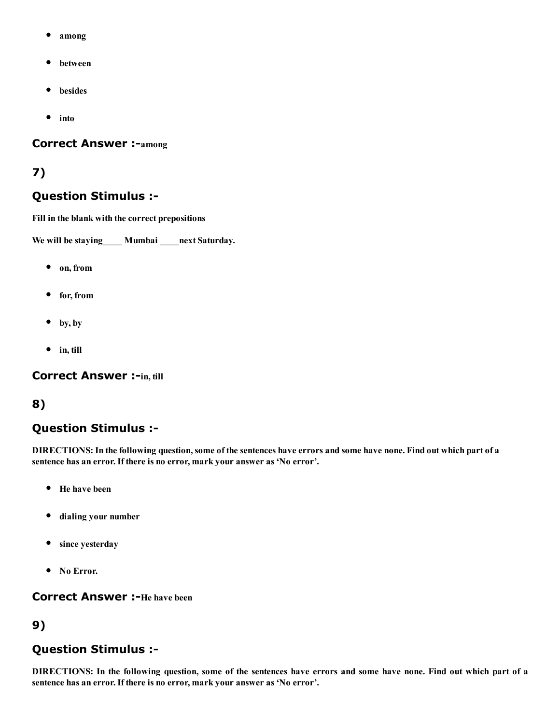- among
- between
- besides  $\bullet$
- $\bullet$ into

#### **Correct Answer :- among**

#### 7)

#### Question Stimulus :

Fill in the blank with the correct prepositions

We will be staying Mumbai next Saturday.

- on, from
- for, from
- $\bullet$  by, by
- $\bullet$  in, till

#### **Correct Answer :-in, till**

#### 8)

## Question Stimulus :

DIRECTIONS: In the following question, some of the sentences have errors and some have none. Find out which part of a sentence has an error. If there is no error, mark your answer as 'No error'.

- $\bullet$ He have been
- $\bullet$ dialing your number
- since yesterday
- No Error.

#### **Correct Answer:**-He have been

#### 9)

#### Question Stimulus :

DIRECTIONS: In the following question, some of the sentences have errors and some have none. Find out which part of a sentence has an error. If there is no error, mark your answer as 'No error'.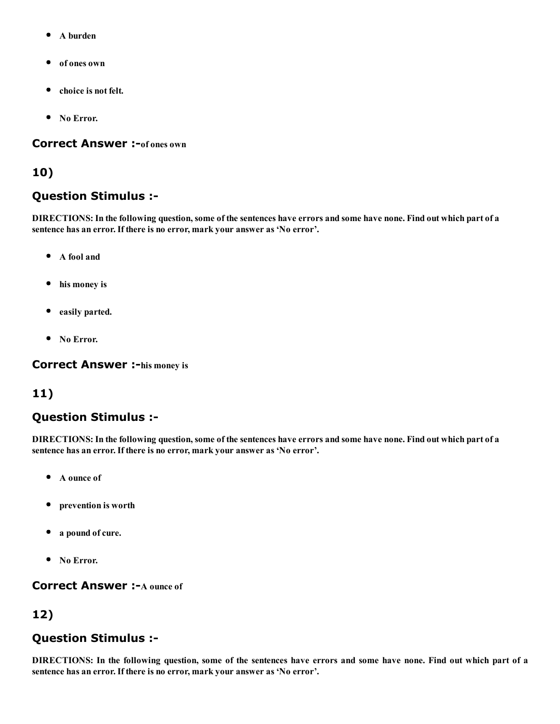- A burden  $\bullet$
- of ones own
- choice is not felt.  $\bullet$
- No Error.

#### **Correct Answer :-**of ones own

#### 10)

### Question Stimulus :

DIRECTIONS: In the following question, some of the sentences have errors and some have none. Find out which part of a sentence has an error. If there is no error, mark your answer as 'No error'.

- $\bullet$ A fool and
- his money is
- easily parted.
- No Error.

**Correct Answer :-his money is** 

## 11)

## Question Stimulus :

DIRECTIONS: In the following question, some of the sentences have errors and some have none. Find out which part of a sentence has an error. If there is no error, mark your answer as 'No error'.

- A ounce of  $\bullet$
- prevention is worth
- a pound of cure.
- No Error.

**Correct Answer :-A ounce of** 

# 12)

## Question Stimulus :

DIRECTIONS: In the following question, some of the sentences have errors and some have none. Find out which part of a sentence has an error. If there is no error, mark your answer as 'No error'.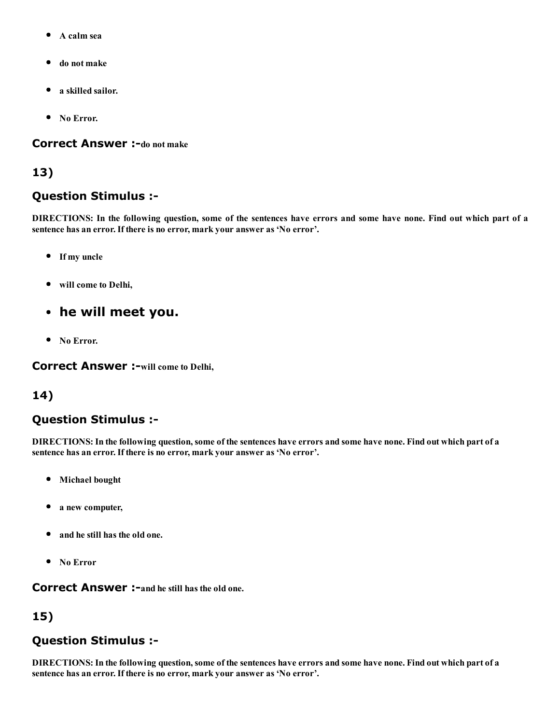- A calm sea  $\bullet$
- do not make
- a skilled sailor.
- No Error.

#### **Correct Answer :-do not make**

#### 13)

#### Question Stimulus :

DIRECTIONS: In the following question, some of the sentences have errors and some have none. Find out which part of a sentence has an error. If there is no error, mark your answer as 'No error'.

- If my uncle
- will come to Delhi,
- he will meet you.
- No Error.

**Correct Answer :- will come to Delhi,** 

#### 14)

## Question Stimulus :

DIRECTIONS: In the following question, some of the sentences have errors and some have none. Find out which part of a sentence has an error. If there is no error, mark your answer as 'No error'.

- Michael bought
- a new computer,
- and he still has the old one.
- No Error

**Correct Answer :-and he still has the old one.** 

# 15)

## Question Stimulus :

DIRECTIONS: In the following question, some of the sentences have errors and some have none. Find out which part of a sentence has an error. If there is no error, mark your answer as 'No error'.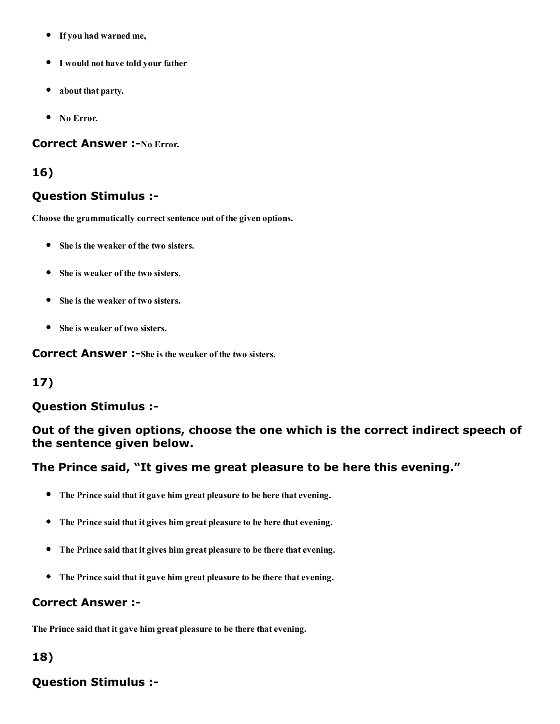- If you had warned me,
- I would not have told your father
- about that party.
- No Error.

#### **Correct Answer :-No Error.**

#### 16)

#### Question Stimulus :

Choose the grammatically correct sentence out of the given options.

- She is the weaker of the two sisters.
- She is weaker of the two sisters.
- She is the weaker of two sisters.
- She is weaker of two sisters.

**Correct Answer:**-She is the weaker of the two sisters.

## 17)

#### Question Stimulus :

### Out of the given options, choose the one which is the correct indirect speech of the sentence given below.

#### The Prince said, "It gives me great pleasure to be here this evening."

- The Prince said that it gave him great pleasure to be here that evening.
- The Prince said that it gives him great pleasure to be here that evening.
- The Prince said that it gives him great pleasure to be there that evening.
- The Prince said that it gave him great pleasure to be there that evening.

#### Correct Answer :

The Prince said that it gave him great pleasure to be there that evening.

## 18)

# Question Stimulus :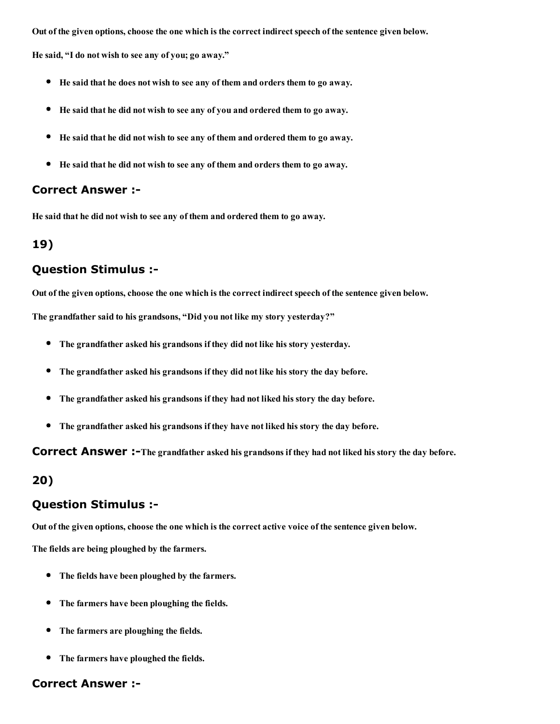Out of the given options, choose the one which is the correct indirect speech of the sentence given below.

He said, "I do not wish to see any of you; go away."

- He said that he does not wish to see any of them and orders them to go away.
- He said that he did not wish to see any of you and ordered them to go away.
- He said that he did not wish to see any of them and ordered them to go away.  $\bullet$
- He said that he did not wish to see any of them and orders them to go away.

#### Correct Answer :

He said that he did not wish to see any of them and ordered them to go away.

#### 19)

#### Question Stimulus :

Out of the given options, choose the one which is the correct indirect speech of the sentence given below.

The grandfather said to his grandsons, "Did you not like my story yesterday?"

- The grandfather asked his grandsons if they did not like his story yesterday.
- The grandfather asked his grandsons if they did not like his story the day before.
- The grandfather asked his grandsons if they had not liked his story the day before.  $\bullet$
- $\bullet$ The grandfather asked his grandsons if they have not liked his story the day before.

**Correct Answer:** -The grandfather asked his grandsons if they had not liked his story the day before.

#### 20)

#### Question Stimulus :

Out of the given options, choose the one which is the correct active voice of the sentence given below.

The fields are being ploughed by the farmers.

- The fields have been ploughed by the farmers.
- The farmers have been ploughing the fields.
- The farmers are ploughing the fields.
- The farmers have ploughed the fields.

#### Correct Answer :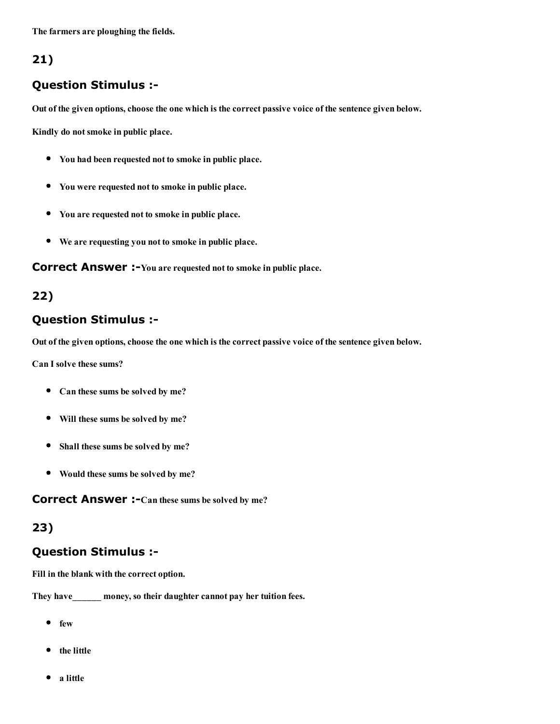The farmers are ploughing the fields.

## 21)

### Question Stimulus :

Out of the given options, choose the one which is the correct passive voice of the sentence given below.

Kindly do not smoke in public place.

- You had been requested not to smoke in public place.
- You were requested not to smoke in public place.
- You are requested not to smoke in public place.
- We are requesting you not to smoke in public place.

**Correct Answer:** -You are requested not to smoke in public place.

### 22)

#### Question Stimulus :

Out of the given options, choose the one which is the correct passive voice of the sentence given below.

Can I solve these sums?

- Can these sums be solved by me?
- Will these sums be solved by me?
- Shall these sums be solved by me?  $\bullet$
- Would these sums be solved by me?

**Correct Answer :-**Can these sums be solved by me?

#### 23)

#### Question Stimulus :

Fill in the blank with the correct option.

They have money, so their daughter cannot pay her tuition fees.

- $e$  few
- the little
- a little $\bullet$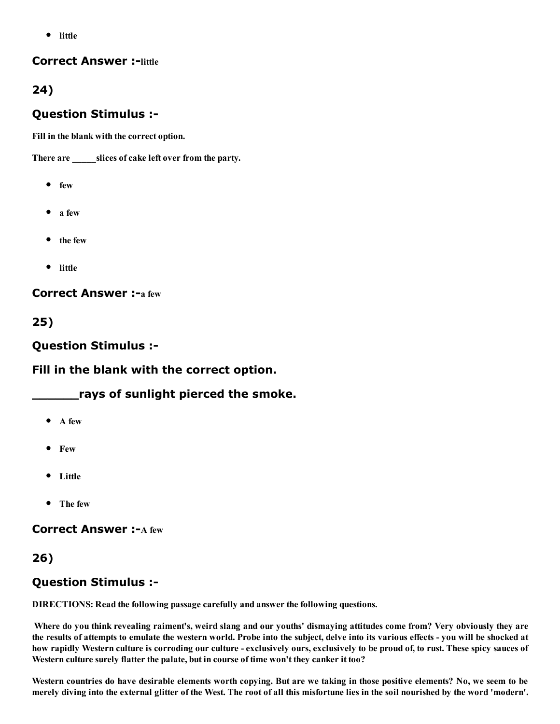• little

#### **Correct Answer :-little**

## 24)

### Question Stimulus :

Fill in the blank with the correct option.

There are \_\_\_\_\_\_\_\_slices of cake left over from the party.

- $e$  few
- $\bullet$  a few
- the few
- little

**Correct Answer :- a few** 

25)

Question Stimulus :

Fill in the blank with the correct option.

rays of sunlight pierced the smoke.

- $\bullet$  A few
- Few
- Little
- The few

**Correct Answer :- A few** 

## 26)

## Question Stimulus :

DIRECTIONS: Read the following passage carefully and answer the following questions.

Where do you think revealing raiment's, weird slang and our youths' dismaying attitudes come from? Very obviously they are the results of attempts to emulate the western world. Probe into the subject, delve into its various effects - you will be shocked at how rapidly Western culture is corroding our culture - exclusively ours, exclusively to be proud of, to rust. These spicy sauces of Western culture surely flatter the palate, but in course of time won't they canker it too?

Western countries do have desirable elements worth copying. But are we taking in those positive elements? No, we seem to be merely diving into the external glitter of the West. The root of all this misfortune lies in the soil nourished by the word 'modern'.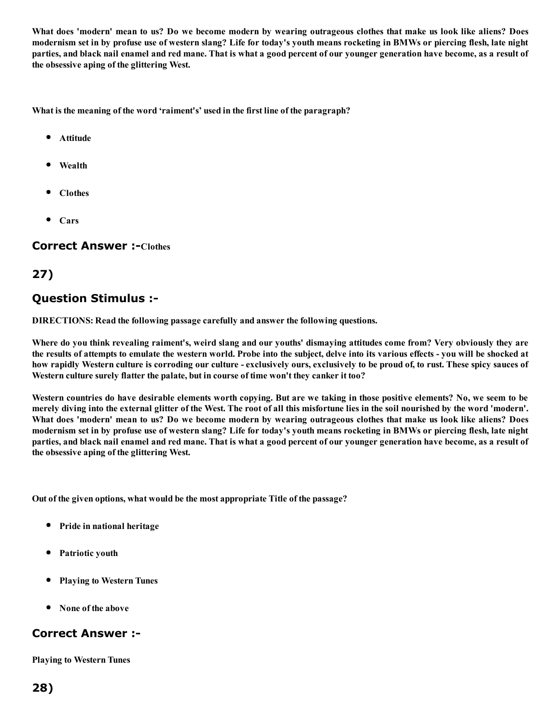What does 'modern' mean to us? Do we become modern by wearing outrageous clothes that make us look like aliens? Does modernism set in by profuse use of western slang? Life for today's youth means rocketing in BMWs or piercing flesh, late night parties, and black nail enamel and red mane. That is what a good percent of our younger generation have become, as a result of the obsessive aping of the glittering West.

What is the meaning of the word 'raiment's' used in the first line of the paragraph?

- Attitude
- Wealth
- Clothes
- Cars

#### **Correct Answer :-Clothes**

## 27)

#### Question Stimulus :

DIRECTIONS: Read the following passage carefully and answer the following questions.

Where do you think revealing raiment's, weird slang and our youths' dismaying attitudes come from? Very obviously they are the results of attempts to emulate the western world. Probe into the subject, delve into its various effects - you will be shocked at how rapidly Western culture is corroding our culture - exclusively ours, exclusively to be proud of, to rust. These spicy sauces of Western culture surely flatter the palate, but in course of time won't they canker it too?

Western countries do have desirable elements worth copying. But are we taking in those positive elements? No, we seem to be merely diving into the external glitter of the West. The root of all this misfortune lies in the soil nourished by the word 'modern'. What does 'modern' mean to us? Do we become modern by wearing outrageous clothes that make us look like aliens? Does modernism set in by profuse use of western slang? Life for today's youth means rocketing in BMWs or piercing flesh, late night parties, and black nail enamel and red mane. That is what a good percent of our younger generation have become, as a result of the obsessive aping of the glittering West.

Out of the given options, what would be the most appropriate Title of the passage?

- Pride in national heritage
- Patriotic youth
- Playing to Western Tunes
- None of the above

#### Correct Answer :

Playing to Western Tunes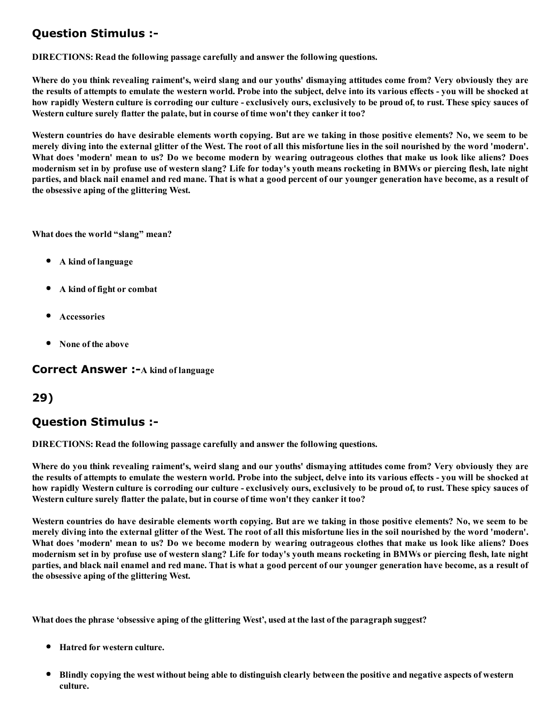# Question Stimulus :

DIRECTIONS: Read the following passage carefully and answer the following questions.

Where do you think revealing raiment's, weird slang and our youths' dismaying attitudes come from? Very obviously they are the results of attempts to emulate the western world. Probe into the subject, delve into its various effects - you will be shocked at how rapidly Western culture is corroding our culture - exclusively ours, exclusively to be proud of, to rust. These spicy sauces of Western culture surely flatter the palate, but in course of time won't they canker it too?

Western countries do have desirable elements worth copying. But are we taking in those positive elements? No, we seem to be merely diving into the external glitter of the West. The root of all this misfortune lies in the soil nourished by the word 'modern'. What does 'modern' mean to us? Do we become modern by wearing outrageous clothes that make us look like aliens? Does modernism set in by profuse use of western slang? Life for today's youth means rocketing in BMWs or piercing flesh, late night parties, and black nail enamel and red mane. That is what a good percent of our younger generation have become, as a result of the obsessive aping of the glittering West.

What does the world "slang" mean?

- A kind of language
- A kind of fight or combat
- Accessories
- None of the above

**Correct Answer :- A kind of language** 

#### 29)

#### Question Stimulus :

DIRECTIONS: Read the following passage carefully and answer the following questions.

Where do you think revealing raiment's, weird slang and our youths' dismaying attitudes come from? Very obviously they are the results of attempts to emulate the western world. Probe into the subject, delve into its various effects - you will be shocked at how rapidly Western culture is corroding our culture - exclusively ours, exclusively to be proud of, to rust. These spicy sauces of Western culture surely flatter the palate, but in course of time won't they canker it too?

Western countries do have desirable elements worth copying. But are we taking in those positive elements? No, we seem to be merely diving into the external glitter of the West. The root of all this misfortune lies in the soil nourished by the word 'modern'. What does 'modern' mean to us? Do we become modern by wearing outrageous clothes that make us look like aliens? Does modernism set in by profuse use of western slang? Life for today's youth means rocketing in BMWs or piercing flesh, late night parties, and black nail enamel and red mane. That is what a good percent of our younger generation have become, as a result of the obsessive aping of the glittering West.

What does the phrase 'obsessive aping of the glittering West', used at the last of the paragraph suggest?

- Hatred for western culture.
- Blindly copying the west without being able to distinguish clearly between the positive and negative aspects of western culture.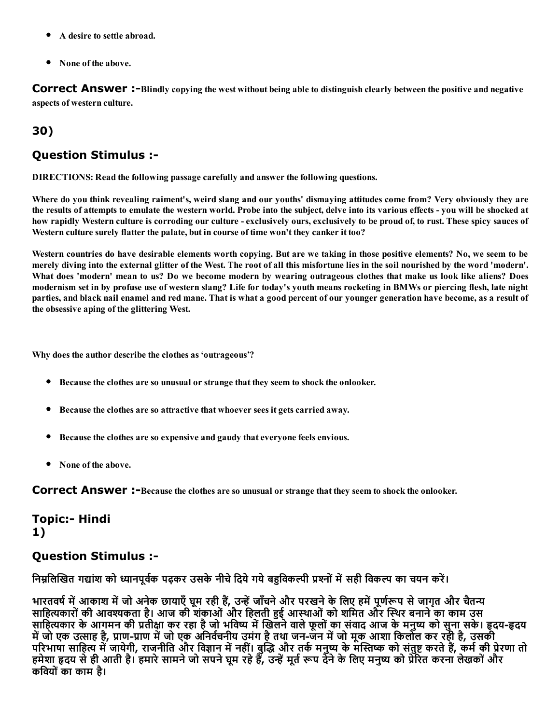- A desire to settle abroad.
- None of the above.

Correct Answer :-Blindly copying the west without being able to distinguish clearly between the positive and negative aspects of western culture.

# 30)

### Question Stimulus :

DIRECTIONS: Read the following passage carefully and answer the following questions.

Where do you think revealing raiment's, weird slang and our youths' dismaying attitudes come from? Very obviously they are the results of attempts to emulate the western world. Probe into the subject, delve into its various effects - you will be shocked at how rapidly Western culture is corroding our culture - exclusively ours, exclusively to be proud of, to rust. These spicy sauces of Western culture surely flatter the palate, but in course of time won't they canker it too?

Western countries do have desirable elements worth copying. But are we taking in those positive elements? No, we seem to be merely diving into the external glitter of the West. The root of all this misfortune lies in the soil nourished by the word 'modern'. What does 'modern' mean to us? Do we become modern by wearing outrageous clothes that make us look like aliens? Does modernism set in by profuse use of western slang? Life for today's youth means rocketing in BMWs or piercing flesh, late night parties, and black nail enamel and red mane. That is what a good percent of our younger generation have become, as a result of the obsessive aping of the glittering West.

Why does the author describe the clothes as 'outrageous'?

- **Because the clothes are so unusual or strange that they seem to shock the onlooker.**
- Because the clothes are so attractive that whoever sees it gets carried away.
- Because the clothes are so expensive and gaudy that everyone feels envious.
- None of the above.

**Correct Answer:**-Because the clothes are so unusual or strange that they seem to shock the onlooker.

Topic:- Hindi 1)

#### Question Stimulus :

निम्नलिखित गद्यांश को ध्यानपूर्वक पढ़कर उसके नीचे दिये गये बहविकल्पी प्रश्नों में सही विकल्प का चयन करें।

भारतवर्ष में आकाश में जो अनेक छायाएँ घूम रही हैं, उन्हें जाँचने और परखने के लिए हमें पूर्णरूप से जागृत और चैतन्य साहित्यकारों की आवश्यकता है। आज की शंकाओं और हिलती हुई आस्थाओं को शमित और स्थिर बनाने का काम उस साहित्यकार के आगमन की प्रतीक्षा कर रहा है जो भविष्य में खिलने वाले फूलों का संवाद आज के मनुष्य को सुना सके। हृदय-हृदय में जो एक उत्साह है, प्राण-प्राण में जो एक अनिवेचनीय उमंग है तथा जन-जन में जो मूक आशा किलोल कर रही है, उसकी परिभाषा साहित्य में जायेगी, राजनीति और विज्ञान में नहीं। बुद्धि और तके मनुष्य के मस्तिष्क को संतुष्ट करते हैं, कमे की प्रेरणा तो हमेशा हृदय से ही आती है। हमारे सामने जो सपने घूम रहे हैं, उन्हें मूर्त रूप देने के लिए मनुष्य को प्रेरित करना लेखकों और किवयोंका काम है।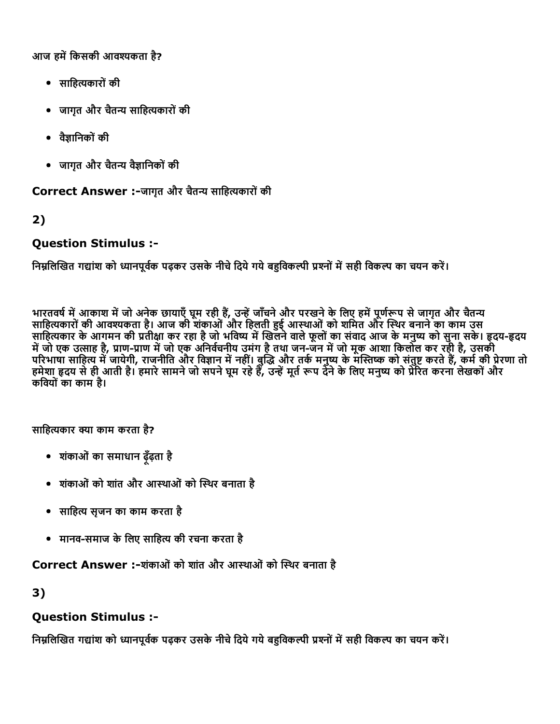आज हमें किसकी आवश्यकता है?

- साहित्यकारों की
- जागृत और चैतन्य साहित्यकारों की
- वैज्ञानिकों की
- जागृत और चैतन्य वैज्ञानिकों की

Correct Answer :-जागृत और चैतन्य साहित्यकारों की

2)

## Question Stimulus :

निम्नलिखित गद्यांश को ध्यानपूर्वक पढ़कर उसके नीचे दिये गये बहुविकल्पी प्रश्नों में सही विकल्प का चयन करें।

भारतवर्ष में आकाश में जो अनेक छायाएँ घूम रही है, उन्हें जाँचने और परखने के लिए हमें पूर्णरूप से जागृत और चैतन्य साहित्यकारों की आवश्यकता है। आज की शंकाओं और हिलती हुई आस्थाओं को शमित और स्थिर बनाने का काम उस साहित्यकार के आगमन की प्रतीक्षा कर रहा है जो भविष्य में खिलने वाले फूलों का संवाद आज के मनुष्य को सुना सके। हृदय-हृदय में जो एक उत्साह है, प्राण-प्राण में जो एक अनिवेचनीय उमंग है तथा जन-जन में जो मूक आशा किलोल कर रही है, उसकी परिभाषा साहित्य में जायेगी, राजनीति और विज्ञान में नहीं। बुद्धि और तके मनुष्य के मस्तिष्क को संतुष्ट करते हैं, कमे की प्रेरणा तो हमेशा हृदय से ही आती है। हमारे सामने जो सपने घूम रहे हैं, उन्हें मूर्त रूप देने के लिए मनुष्य को प्रेरित करना लेखकों और किवयोंका काम है।

साहित्यकार क्या काम करता है?

- शंकाओंका समाधान ढ़ूँढ़ता है
- शंकाओंको शांत और आथाओंको εथर बनाता है
- साहित्य सृजन का काम करता है
- मानव-समाज के लिए साहित्य की रचना करता है

Correct Answer :-शंकाओं को शांत और आस्थाओं को स्थिर बनाता है

3)

## Question Stimulus :

निम्नलिखित गद्यांश को ध्यानपूर्वक पढ़कर उसके नीचे दिये गये बहुविकल्पी प्रश्नों में सही विकल्प का चयन करें।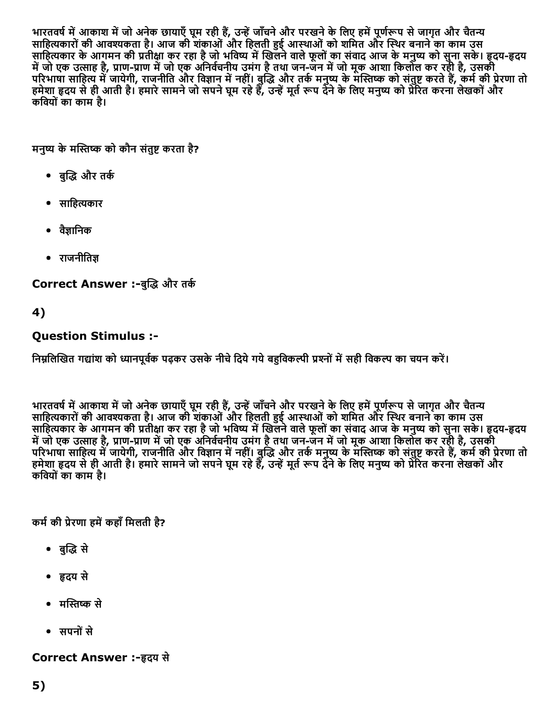भारतवर्ष में आकाश में जो अनेक छायाएँ घूम रही है, उन्हें जाँचने और परखने के लिए हमें पूर्णरूप से जागृत और चैतन्य साहित्यकारों की आवश्यकता है। आज की शंकाओं और हिलती हुई आस्थाओं को शमित और स्थिर बनाने का काम उस साहित्यकार के आगमन की प्रतीक्षा कर रहा है जो भविष्य में खिलने वाले फूलों का संवाद आज के मनुष्य को सुना सके। हृदय-हृदय में जो एक उत्साह है, प्राण-प्राण में जो एक अनिवेचनीय उमंग है तथा जन-जन में जो मूक आशा किलोल कर रही है, उसकी परिभाषा साहित्य में जायेगी, राजनीति और विज्ञान में नहीं। बुद्धि और तके मनुष्य के मस्तिष्क को संतुष्ट करते हैं, कमे की प्रेरणा तो हमेशा हृदय से ही आती है। हमारे सामने जो सपने घूम रहे हैं, उन्हें मूर्त रूप देने के लिए मनुष्य को प्रेरित करना लेखकों और किवयोंका काम है।

मनुष्य के मस्तिष्क को कौन संतुष्ट करता है?

- बुद्धि और तर्क
- साहित्यकार
- वैज्ञानिक
- $\bullet$  राजनीतिज्ञ

Correct Answer :-बुद्धि और तर्क

4)

# Question Stimulus :

निम्रलिखित गद्यांश को ध्यानपर्वक पढ़कर उसके नीचे दिये गये बहविकल्पी प्रश्नों में सही विकल्प का चयन करें।

भारतवर्ष में आकाश में जो अनेक छायाएँ घूम रही हैं, उन्हें जाँचने और परखने के लिए हमें पूर्णरूप से जागृत और चैतन्य साहित्यकारों की आवश्यकता है। आज की शंकाओं और हिलती हुई आस्थाओं को शमित और स्थिर बनाने का काम उस साहित्यकार के आगमन की प्रतीक्षा कर रहा है जो भविष्य में खिलने वाले फूलों का संवाद आज के मनुष्य को सुना सके। हृदय-हृदय में जो एक उत्साह है, प्राण-प्राण में जो एक अनिवेचनीय उमंग है तथा जन-जन में जो मूक आशा किलोल कर रही है, उसकी परिभाषा साहित्य में जायेगी, राजनीति और विज्ञान में नहीं। बुद्धि और तके मनुष्य के मस्तिष्क को संतुष्ट करते हैं, कमे की प्रेरणा तो हमेशा हृदय से ही आती है। हमारे सामने जो सपने घूम रहे हैं, उन्हें मूर्त रूप देने के लिए मनुष्य को प्रेरित करना लेखकों और किवयोंका काम है।

कर्म की प्रेरणा हमें कहाँ मिलती है?

- बुद्धि से
- ╞दय से
- मस्तिष्क से
- सपनोंसे

## **Correct Answer :-हृदय से**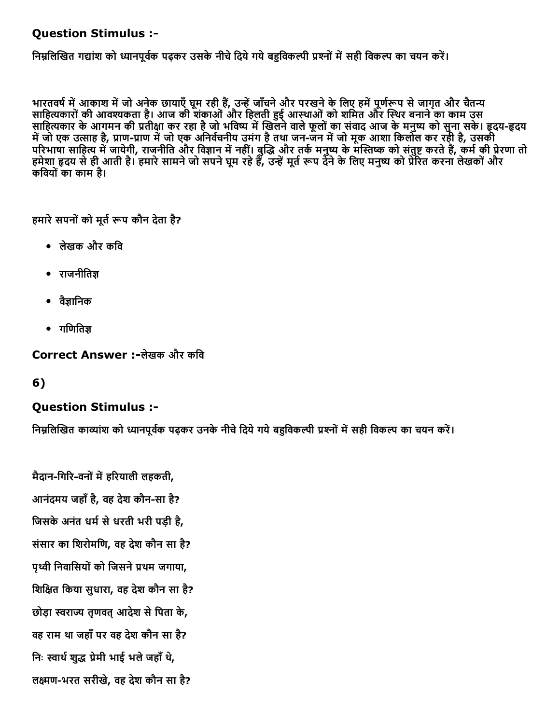## Question Stimulus :

निम्नलिखित गद्यांश को ध्यानपूर्वक पढ़कर उसके नीचे दिये गये बहविकल्पी प्रश्नों में सही विकल्प का चयन करें।

भारतवर्ष में आकाश में जो अनेक छायाएँ घूम रही हैं, उन्हें जाँचने और परखने के लिए हमें पूर्णरूप से जागृत और चैतन्य साहित्यकारों की आवश्यकता है। आज की शंकाओं और हिलती हुई आस्थाओं को शमित और स्थिर बनाने का काम उस साहित्यकार के आगमन की प्रतीक्षा कर रहा है जो भविष्य में खिलने वाले फूलों का संवाद आज के मनुष्य को सुना सके। हृदय-हृदय स्मार्क स्मार्ग संग्रह है, प्राण-प्राण में जो एक अनिर्वचनीय उमंग है तथा जन-जन में जो मूक आशा किलोल कर रही है, उसकी परिभाषा साहित्य में जायेगी, राजनीति और विज्ञान में नहीं। बुद्धि और तके मनुष्य के मस्तिष्क को संतुष्ट करते हैं, कमे की प्रेरणा तो हमेशा हृदय से ही आती है। हमारे सामने जो सपने घूम रहे हैं, उन्हें मूर्त रूप देने के लिए मनुष्य को प्रेरित करना लेखकों और किवयोंका काम है।

हमारे सपनों को मूर्त रूप कौन देता है?

- लेखक और किव
- $\bullet$  राजनीतिज्ञ
- वैज्ञानिक
- $\bullet$  गणितिज्ञ

Correct Answer :-लेखक और कवि

6)

## Question Stimulus :

निम्रलिखित काव्यांश को ध्यानपर्वक पढ़कर उनके नीचे टिये गये बहविकल्पी प्रश्नों में सही विकल्प का चयन करें।

मैदान-गिरि-वनों में हरियाली लहकती, आनंदमय जहाँ है, वह देश कौन-सा है? जिसके अनंत धर्म से धरती भरी पड़ी है, संसार का िशरोमिण, वह देश कौन सा है? पृथ्वी निवासियों को जिसने प्रथम जगाया, शिक्षित किया सुधारा, वह देश कौन सा है? छोड़ा स्वराज्य तृणवत् आदेश से पिता के, वह राम था जहाँपर वह देश कौन सा है? निः स्वार्थ शुद्ध प्रेमी भाई भले जहाँ थे, लĈणभरत सरीखे, वह देश कौन सा है?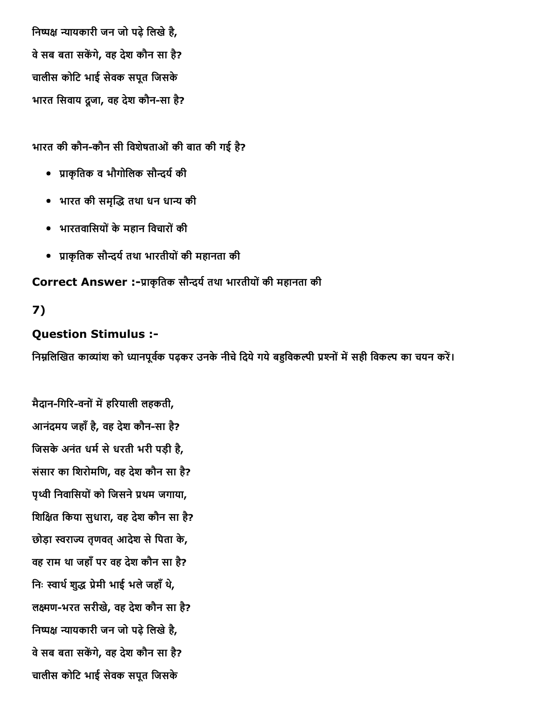निष्पक्ष न्यायकारी जन जो पढ़े लिखे है, वे सब बता सकेंगे, वह देश कौन सा है? चालीस कोिट भाई सेवक सपूत िजसके भारत सिवाय दूजा, वह देश कौन-सा है?

भारत की कौन-कौन सी विशेषताओं की बात की गई है?

- प्राकृतिक व भौगोलिक सौन्दर्य की
- भारत की समृद्धि तथा धन धान्य की
- भारतवािसयोंकेमहान िवचारोंकी
- ▀ाकृितक सौГय└तथा भारतीयोंकी महानता की

Correct Answer :-प्राकृतिक सौन्दर्य तथा भारतीयों की महानता की

# 7)

# Question Stimulus :

निम्नलिखित काव्यांश को ध्यानपूर्वक पढ़कर उनके नीचे दिये गये बहविकल्पी प्रश्नों में सही विकल्प का चयन करें।

मैदान-गिरि-वनों में हरियाली लहकती, आनंदमय जहाँ है, वह देश कौन-सा है? जिसके अनंत धर्म से धरती भरी पड़ी है, संसार का िशरोमिण, वह देश कौन सा है? पृथ्वी निवासियों को जिसने प्रथम जगाया, िशिāत िकया सुधारा, वह देश कौन सा है? छोड़ा स्वराज्य तृणवत् आदेश से पिता के, वह राम था जहाँपर वह देश कौन सा है? निः स्वार्थ शुद्ध प्रेमी भाई भले जहाँ थे, लक्ष्मण-भरत सरीखे, वह देश कौन सा है? निष्पक्ष न्यायकारी जन जो पढ़े लिखे है, वे सब बता सकेंगे, वह देश कौन सा है? चालीस कोिट भाई सेवक सपूत िजसके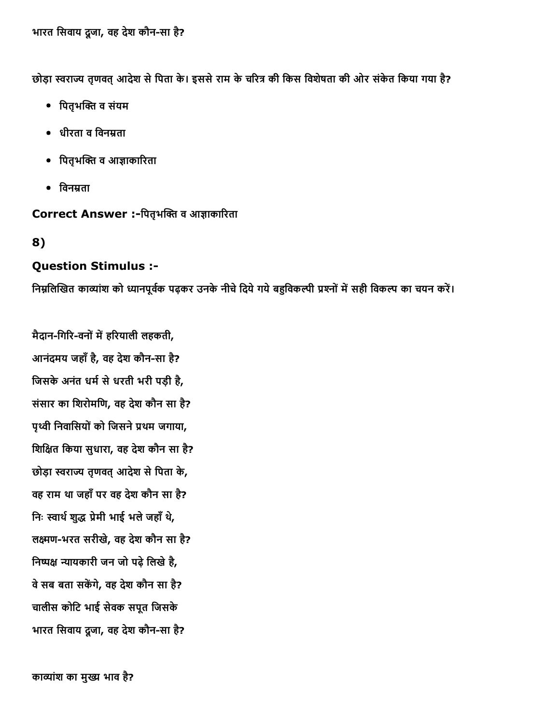छोड़ा स्वराज्य तृणवत् आदेश से पिता के। इससे राम के चरित्र की किस विशेषता की ओर संकेत किया गया है?

- पितृभक्ति व संयम
- धीरता व विनम्रता
- पितृभक्ति व आज्ञाकारिता
- $\bullet$  विनम्रता

Correct Answer :-पितृभक्ति व आज्ञाकारिता

8)

## Question Stimulus :

निम्नलिखित काव्यांश को ध्यानपूर्वक पढ़कर उनके नीचे दिये गये बहुविकल्पी प्रश्नों में सही विकल्प का चयन करें।

मैदान-गिरि-वनों में हरियाली लहकती, आनंदमय जहाँ है, वह देश कौन-सा है? जिसके अनंत धर्म से धरती भरी पड़ी है, संसार का िशरोमिण, वह देश कौन सा है? पृथ्वी निवासियों को जिसने प्रथम जगाया, िशिāत िकया सुधारा, वह देश कौन सा है? छोड़ा स्वराज्य तृणवत् आदेश से पिता के, वह राम था जहाँपर वह देश कौन सा है? निः स्वार्थ शुद्ध प्रेमी भाई भले जहाँ थे, लक्ष्मण-भरत सरीखे, वह देश कौन सा है? निष्पक्ष न्यायकारी जन जो पढ़े लिखे है, वे सब बता सकेंगे, वह देश कौन सा है? चालीस कोिट भाई सेवक सपूत िजसके भारत सिवाय दूजा, वह देश कौन-सा है?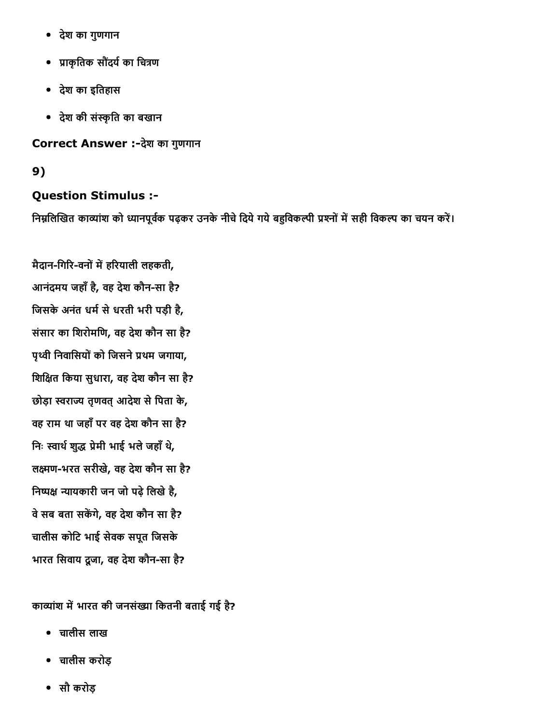- देश का गुणगान
- प्राकृतिक सौंदर्य का चित्रण
- देश का इितहास
- देश की संאַृित का बखान

Correct Answer :-देश का गुणगान

# 9)

# Question Stimulus :

निम्नलिखित काव्यांश को ध्यानपूर्वक पढ़कर उनके नीचे दिये गये बहुविकल्पी प्रश्नों में सही विकल्प का चयन करें।

मैदान-गिरि-वनों में हरियाली लहकती, आनंदमय जहाँ है, वह देश कौन-सा है? जिसके अनंत धर्म से धरती भरी पड़ी है, संसार का िशरोमिण, वह देश कौन सा है? पृथ्वी निवासियों को जिसने प्रथम जगाया, िशिāत िकया सुधारा, वह देश कौन सा है? छोड़ा स्वराज्य तृणवत् आदेश से पिता के, वह राम था जहाँपर वह देश कौन सा है? निः स्वार्थ शुद्ध प्रेमी भाई भले जहाँ थे, लक्ष्मण-भरत सरीखे, वह देश कौन सा है? निष्पक्ष न्यायकारी जन जो पढ़े लिखे है, वे सब बता सकेंगे, वह देश कौन सा है? चालीस कोिट भाई सेवक सपूत िजसके भारत सिवाय दुजा, वह देश कौन-सा है?

काव्यांश में भारत की जनसंख्या कितनी बताई गई है?

- चालीस लाख
- चालीस करोड़
- सौ करोड़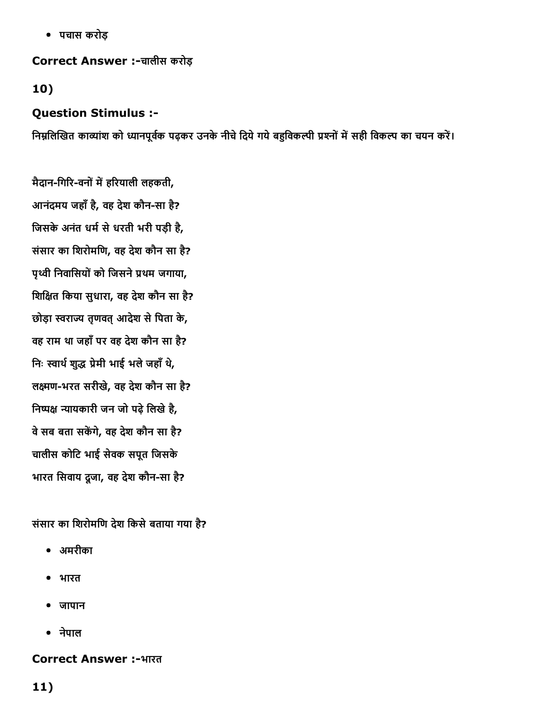पचास करोड़

Correct Answer :चालीस करोड़

10)

## Question Stimulus :

निम्नलिखित काव्यांश को ध्यानपूर्वक पढ़कर उनके नीचे दिये गये बहुविकल्पी प्रश्नों में सही विकल्प का चयन करें।

मैदान-गिरि-वनों में हरियाली लहकती, आनंदमय जहाँ है, वह देश कौन-सा है? जिसके अनंत धर्म से धरती भरी पड़ी है, संसार का िशरोमिण, वह देश कौन सा है? पृथ्वी निवासियों को जिसने प्रथम जगाया, िशिāत िकया सुधारा, वह देश कौन सा है? छोड़ा स्वराज्य तुणवत आदेश से पिता के, वह राम था जहाँपर वह देश कौन सा है? निः स्वार्थ शुद्ध प्रेमी भाई भले जहाँ थे, लक्ष्मण-भरत सरीखे, वह देश कौन सा है? निष्पक्ष न्यायकारी जन जो पढे लिखे है, वे सब बता सकेंगे, वह देश कौन सा है? चालीस कोिट भाई सेवक सपूत िजसके भारत सिवाय दूजा, वह देश कौन-सा है?

संसार का शिरोमणि देश किसे बताया गया है?

- अमरीका
- भारत
- जापान
- नेपाल

## Correct Answer :-भारत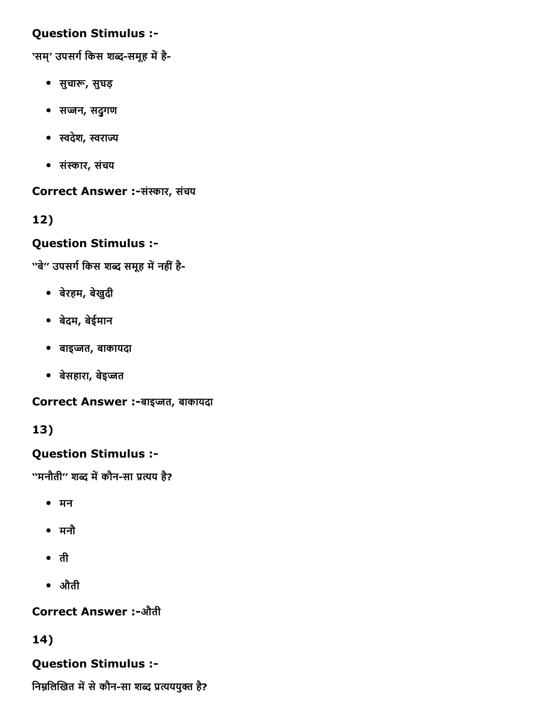## Question Stimulus :

'सम्' उपसर्ग किस शब्द-समूह में है-

- सुचारू, सुघड़
- सज्जन, सदुगण
- स्वदेश, स्वराज्य
- संאַार, संचय

Correct Answer :-संस्कार, संचय

12)

# Question Stimulus :

''बे'' उपसर्ग किस शब्द समूह में नहीं है-

- बेरहम, बेखुदी
- बेदम, बेईमान
- बाइŬत, बाकायदा
- बेसहारा, बेइज्जत

Correct Answer :-बाइज्जत, बाकायदा

# 13)

# Question Stimulus :

''मनौती'' शब्द में कौन-सा प्रत्यय है?

- मन
- मनौ
- ती
- औती

# **Correct Answer :-औती**

# 14)

# Question Stimulus :

निम्नलिखित में से कौन-सा शब्द प्रत्यययुक्त है?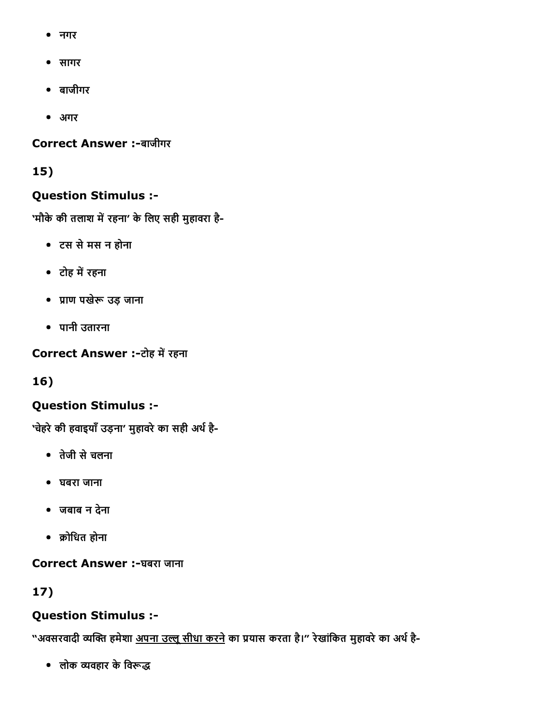- नगर
- सागर
- बाजीगर
- अगर

## Correct Answer :-बाजीगर

# 15)

# Question Stimulus :

'मौके की तलाश में रहना' के लिए सही मुहावरा है-

- टस सेमस न होना
- टोह में रहना
- प्राण पखेरू उड़ जाना
- पानी उतारना

Correct Answer :-टोह में रहना

16)

# Question Stimulus :

'चेहरे की हवाइयाँ उड़ना' मुहावरे का सही अर्थ है-

- तेजी सेचलना
- घबरा जाना
- जबाब न देना
- ╡ोिधत होना

Correct Answer :-घबरा जाना

# 17)

# Question Stimulus :

"अवसरवादी व्यक्ति हमेशा <u>अपना उल्लू सीधा करने</u> का प्रयास करता है।" रेखांकित मुहावरे का अर्थ है-

 $\bullet$  लोक व्यवहार के विरूद्ध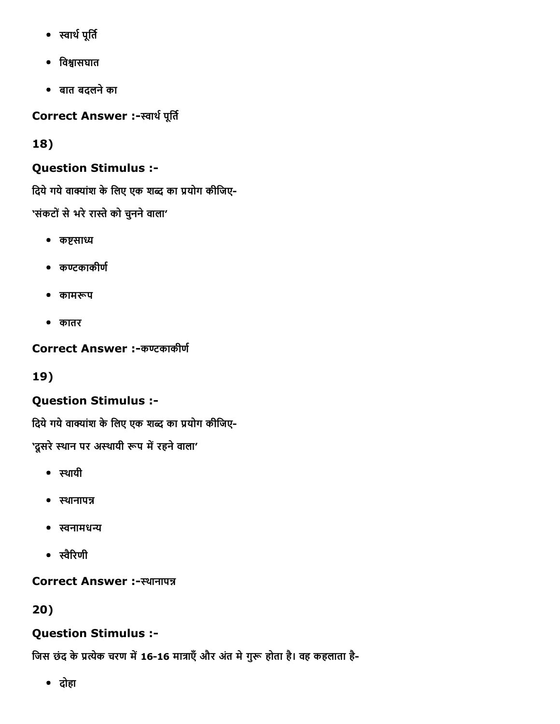- स्वार्थ पूर्ति
- विश्वासघात
- बात बदलनेका

Correct Answer :-स्वार्थ पूर्ति

18)

# Question Stimulus :

दिये गये वाक्यांश के लिए एक शब्द का प्रयोग कीजिए-'संकटों से भरे रास्ते को चुनने वाला'

- कष्टसाध्य
- कण्टकाकीर्ण
- कामरूप
- कातर

Correct Answer :-कण्टकाकीर्ण

19)

# Question Stimulus :

दिये गये वाक्यांश के लिए एक शब्द का प्रयोग कीजिए-

'दूसरे स्थान पर अस्थायी रूप में रहने वाला'

- स्थायी
- स्थानापन्न
- स्वनामधन्य
- स्वैरिणी

Correct Answer :-स्थानापन्न

20)

# Question Stimulus :

जिस छंद के प्रत्येक चरण में 16-16 मात्राएँ और अंत मे गुरू होता है। वह कहलाता है-

दोहा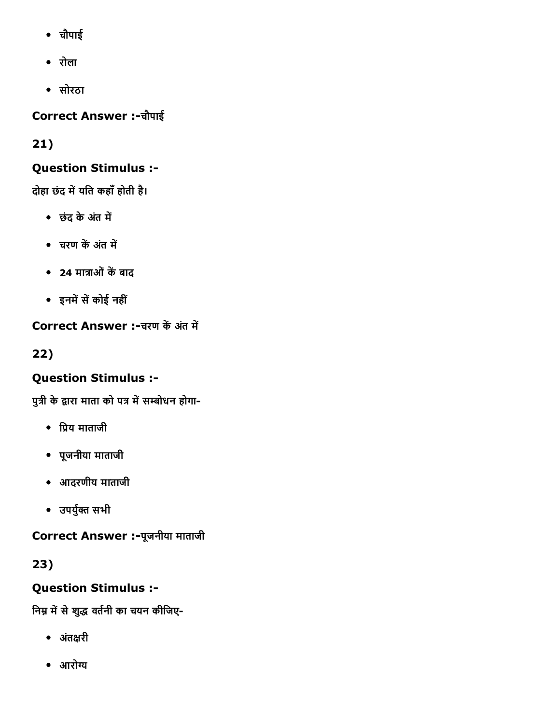- चौपाई
- रोला
- सोरठा

Correct Answer :चौपाई

21)

# Question Stimulus :

दोहा छंद में यति कहाँ होती है।

- छंद के अंत में
- चरण कें अंत में
- 24 मात्राओं कें बाद
- इनमें सें कोई नहीं

Correct Answer :-चरण कें अंत में

22)

# Question Stimulus :

पुत्री के द्वारा माता को पत्र में सम्बोधन होगा-

- प्रिय माताजी
- पूजनीया माताजी
- आदरणीय माताजी
- उपर्युक्त सभी

Correct Answer :-पूजनीया माताजी

23)

# Question Stimulus :

निम्न में से शुद्ध वर्तनी का चयन कीजिए-

- अतंāरी
- आरोग्य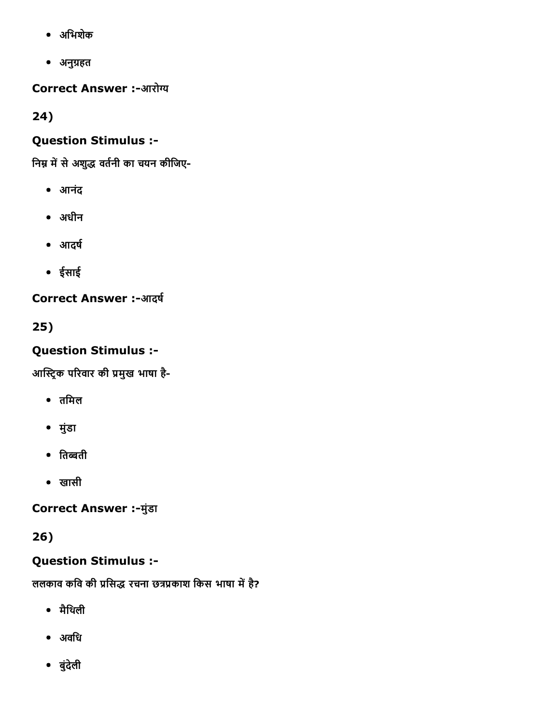- अिभशेक
- अनु╣हत

Correct Answer :-आरोग्य

24)

# Question Stimulus :

निम्न में से अशुद्ध वर्तनी का चयन कीजिए-

- आनंद
- अधीन
- आदर्ष
- ईसाई

**Correct Answer :-आदर्ष** 

25)

# Question Stimulus :

आस्ट्रिक परिवार की प्रमुख भाषा है-

- तिमल
- मुंडा
- तिब्बती
- खासी

**Correct Answer :- मुंडा** 

26)

# Question Stimulus :

ललकाव कवि की प्रसिद्ध रचना छत्रप्रकाश किस भाषा में है?

- मैिथली
- अविध
- बुंदेली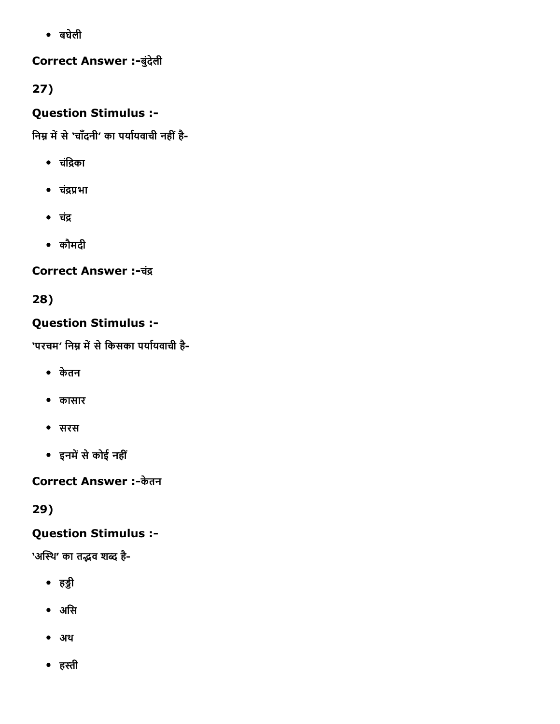बघेली

# Correct Answer :-बुंदेली

27)

# Question Stimulus :

निम्न में से 'चाँदनी' का पर्यायवाची नहीं है-

- चंद्रिका
- चंद्रप्रभा
- चंद्र
- कौमदी

# Correct Answer :-चंद्र

28)

# Question Stimulus :

'परचम' निम्न में से किसका पर्यायवाची है-

- केतन
- कासार
- सरस
- इनमें से कोई नहीं

Correct Answer :-केतन

29)

# Question Stimulus :

'अस्थि' का तद्भव शब्द है-

- हड्डी
- अिस
- अथ
- हהּी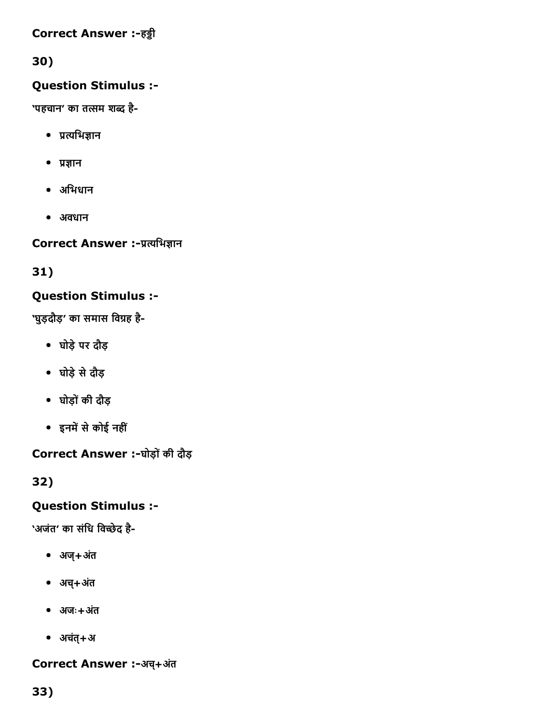## Correct Answer :-हड्डी

# 30)

# Question Stimulus :

'पहचान' का तत्सम शब्द है-

- प्रत्यभिज्ञान
- $\bullet$  प्रज्ञान
- अिभधान
- अवधान

Correct Answer :-प्रत्यभिज्ञान

31)

# Question Stimulus :

'घुड़दौड़' का समास विग्रह है-

- घोड़ेपर दौड़
- घोड़ेसेदौड़
- घोड़ोंकी दौड़
- इनमें से कोई नहीं

Correct Answer :-घोड़ों की दौड़

32)

# Question Stimulus :

'अजंत' का संधि विच्छेद है-

- अज्+अतं
- अच+्अतं
- अजः+अतं
- अचतं्+अ

# Correct Answer :-अच्+अंत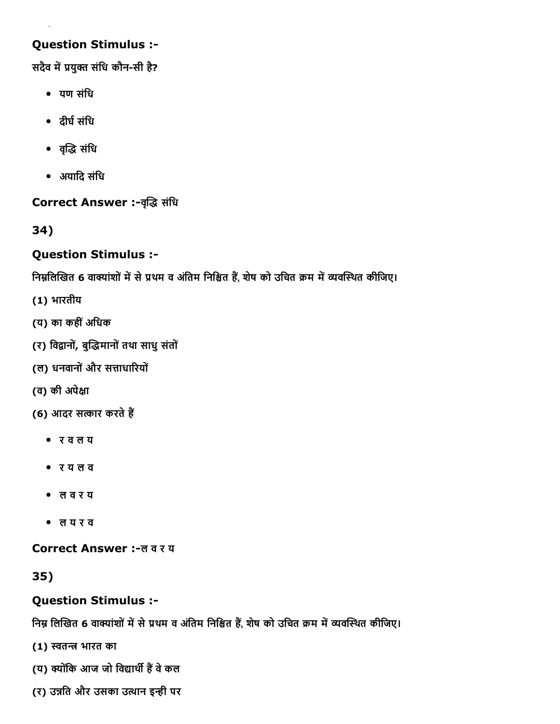## Question Stimulus :

सदैव में प्रयुक्त संधि कौन-सी है?

- यण संिध
- दीर्घ संधि
- वεृο संिध
- अयािद संिध

Correct Answer :-वृद्धि संधि

34)

## Question Stimulus :

निम्नलिखित 6 वाक्यांशों में से प्रथम व अंतिम निश्चित हैं, शेष को उचित क्रम में व्यवस्थित कीजिए।

- (1) भारतीय
- (य) का कहींअिधक
- (र) विद्वानों, बुद्धिमानों तथा साधु संतों
- (ल) धनवानोंऔर सΟाधाδरयों
- (व) की अपेāा
- (6) आदर सत्कार करते हैं
	- र व ल य
	- र य ल व
	- ल व र य
	- ल य र व

Correct Answer :-ल व र य

35)

# Question Stimulus :

निम्न लिखित 6 वाक्यांशों में से प्रथम व अंतिम निश्चित हैं, शेष को उचित क्रम में व्यवस्थित कीजिए।

- (1) स्वतन्त्र भारत का
- (य) क्योंकि आज जो विद्यार्थी हैं वे कल
- (र) उन्नति और उसका उत्थान इन्ही पर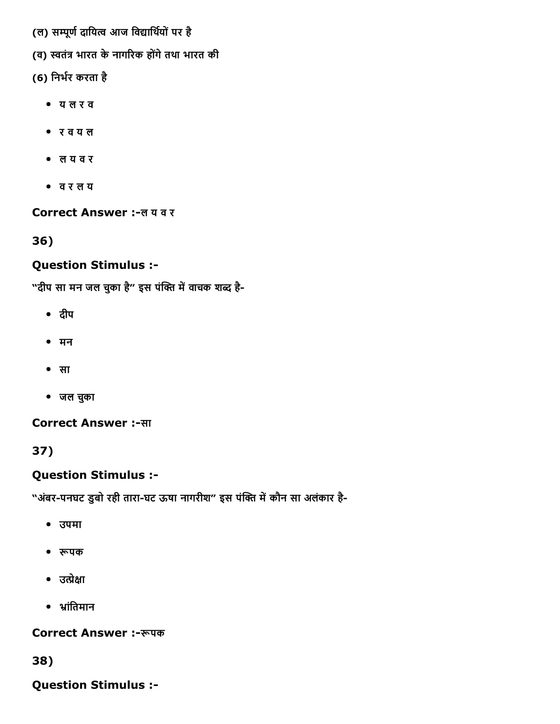- (ल) सम्पूर्ण दायित्व आज विद्यार्थियों पर है
- (व) स्वतंत्र भारत के नागरिक होंगे तथा भारत की
- (6) निर्भर करता है
	- य ल र व
	- र व य ल
	- ल य व र
	- व र ल य

#### Correct Answer :-ल य व र

36)

## Question Stimulus :

"दीप सा मन जल चुका है" इस पंक्ति में वाचक शब्द है-

- दीप
- मन
- सा
- जल चकुा

## Correct Answer :-सा

37)

## Question Stimulus :

"अंबर-पनघट डुबो रही तारा-घट ऊषा नागरीश" इस पंक्ति में कौन सा अलंकार है-

- उपमा
- रूपक
- $\bullet$  उत्प्रेक्षा
- भ्रांतिमान

#### Correct Answer :-रूपक

38)

Question Stimulus :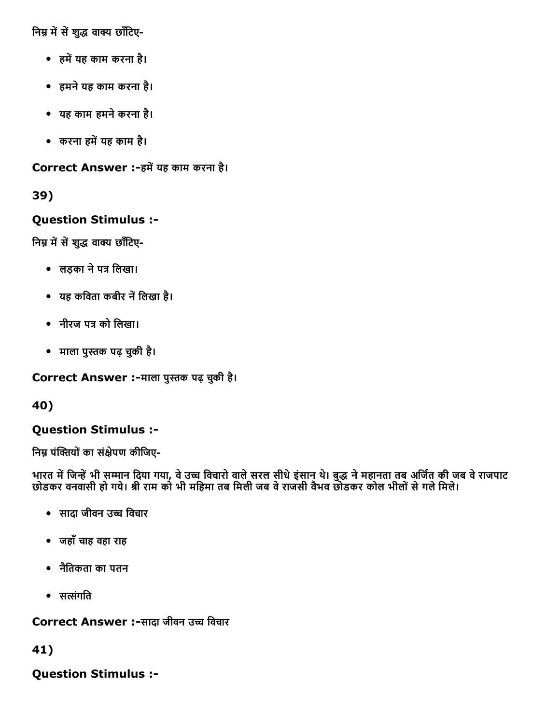निम्न में सें शुद्ध वाक्य छाँटिए-

- हमें यह काम करना है।
- हमनेयह काम करना है।
- यह काम हमनेकरना है।
- करना हमें यह काम है।

Correct Answer :-हमें यह काम करना है।

39)

## Question Stimulus :

निम्न में सें शुद्ध वाक्य छाँटिए-

- लड़का ने पत्र लिखा।
- यह कविता कबीर नें लिखा है।
- नीरज पत्र को लिखा।
- माला पुהּक पढ़ चकुी है।

Correct Answer :-माला पुस्तक पढ़ चुकी है।

40)

## Question Stimulus :

निम्न पंक्तियों का संक्षेपण कीजिए-

भारत में जिन्हें भी सम्मान दिया गया, वे उच्च विचारो वाले सरल सीधे इंसान थे। बुद्ध ने महानता तब अजित की जब वे राजपाट छोडकर वनवासी हो गये। श्री राम को भी महिमा तब मिली जब वे राजसी वैभव छोडकर कोल भीलों से गले मिले।

- सादा जीवन उच्च विचार
- जहाँचाह वहा राह
- नैितकता का पतन
- $\bullet$  सत्संगति

Correct Answer :-सादा जीवन उच्च विचार

41)

Question Stimulus :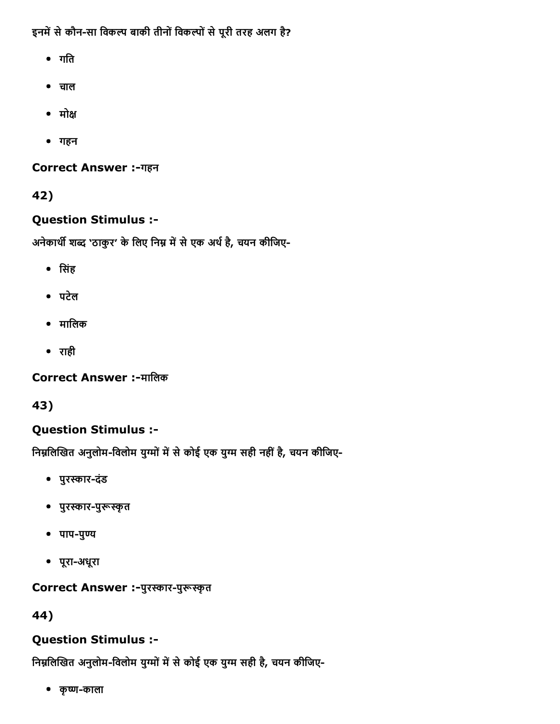इनमें से कौन-सा विकल्प बाकी तीनों विकल्पों से पूरी तरह अलग है?

- गति
- चाल
- मोक्ष
- गहन

Correct Answer :-गहन

42)

# Question Stimulus :

अनेकार्थी शब्द 'ठाकुर' के लिए निम्न में से एक अर्थ है, चयन कीजिए-

- िसंह
- पटेल
- मािलक
- राही

**Correct Answer :-मालिक** 

43)

# Question Stimulus :

निम्नलिखित अनुलोम-विलोम युग्मों में से कोई एक युग्म सही नहीं है, चयन कीजिए-

- पुरस्कार-दंड
- पुरस्कार-पुरूस्कृत
- $\bullet$  पाप-पुण्य
- पूरा-अधूरा

# Correct Answer :-पुरस्कार-पुरूस्कृत

44)

# Question Stimulus :

निम्नलिखित अनुलोम-विलोम युग्मों में से कोई एक युग्म सही है, चयन कीजिए-

• कृष्ण-काला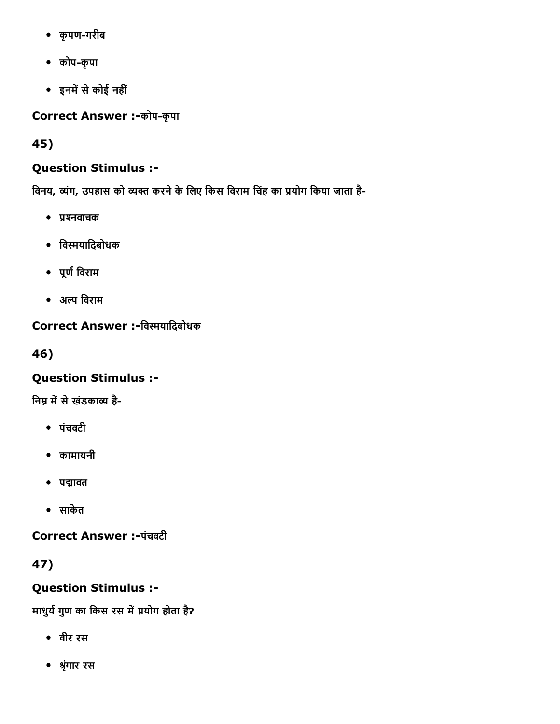- कृपणगरीब
- कोपकृपा
- इनमें से कोई नहीं

Correct Answer :-कोप-कृपा

45)

# Question Stimulus :

विनय, व्यंग, उपहास को व्यक्त करने के लिए किस विराम चिंह का प्रयोग किया जाता है-

- प्रश्नवाचक
- िवפּयािदबोधक
- पूण└िवराम
- अֽ िवराम

# Correct Answer :-विस्मयादिबोधक

46)

# Question Stimulus :

निम्न में से खंडकाव्य है-

- पंचवटी
- कामायनी
- पद्मावत
- साकेत

Correct Answer :-पंचवटी

47)

Question Stimulus :

माधुर्य गुण का किस रस में प्रयोग होता है?

- वीर रस
- ▓ृंगार रस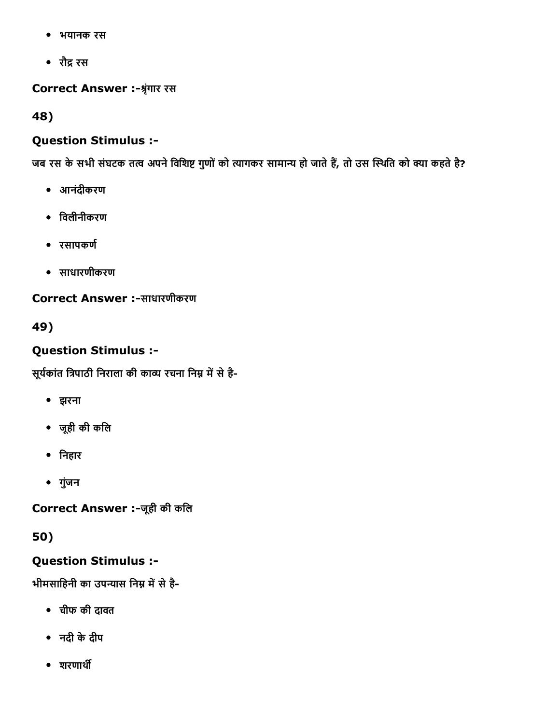- भयानक रस
- रौद्र रस

Correct Answer :-श्रृंगार रस

48)

## Question Stimulus :

जब रस के सभी संघटक तत्व अपने विशिष्ट गुणों को त्यागकर सामान्य हो जाते हैं, तो उस स्थिति को क्या कहते है?

- आनंदीकरण
- िवलीनीकरण
- रसापकण└
- साधारणीकरण

Correct Answer :-साधारणीकरण

49)

# Question Stimulus :

सूर्यकांत त्रिपाठी निराला की काव्य रचना निम्न में से है-

- झरना
- जूही की किल
- िनहार
- गुंजन

Correct Answer :-जूही की कलि

# 50)

## Question Stimulus :

भीमसाहिनी का उपन्यास निम्न में से है-

- चीफ की दावत
- नदी केदीप
- $•$  शरणार्थी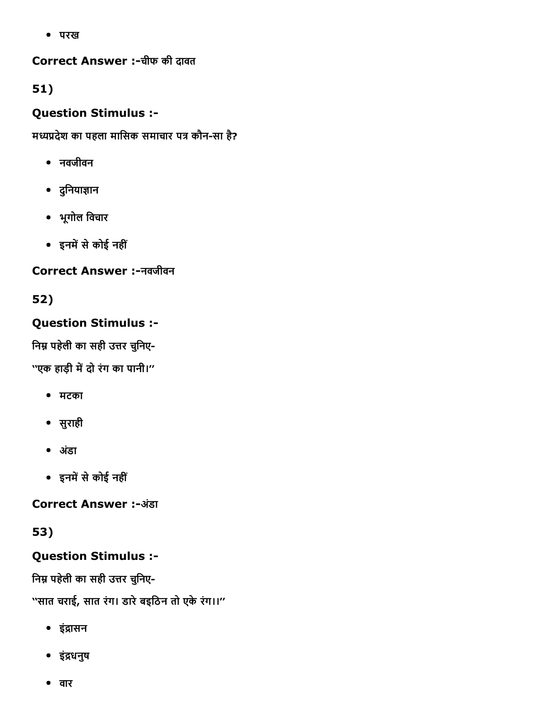परख

Correct Answer :-चीफ की दावत

51)

# Question Stimulus :

मध्यप्रदेश का पहला मासिक समाचार पत्र कौन-सा है?

- नवजीवन
- दुनियाज्ञान
- भूगोल िवचार
- इनमें से कोई नहीं

# Correct Answer :नवजीवन

# 52)

# Question Stimulus :

निम्न पहेली का सही उत्तर चुनिए-

''एक हाड़ी में दो रंग का पानी।''

- मटका
- सुराही
- अडंा
- इनमें से कोई नहीं

**Correct Answer :-अंडा** 

# 53)

# Question Stimulus :

निम्न पहेली का सही उत्तर चुनिए-

''सात चराई, सात रंग। डारेबइिठन तो एकेरंग।।''

- इंद्रासन
- इं╪धनुष
- वार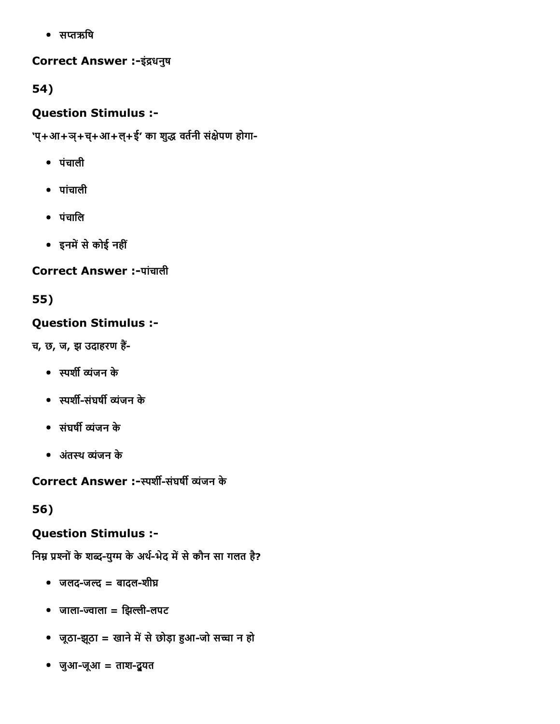• सप्तऋषि

## Correct Answer :-इंद्रधनुष

54)

# Question Stimulus :

'प्+आ+ञ्+च्+आ+ल्+ई' का शुद्ध वर्तनी संक्षेपण होगा-

- पंचाली
- पांचाली
- पंचािल
- इनमें से कोई नहीं

# Correct Answer :-पांचाली

55)

# Question Stimulus :

च, छ, ज, झ उदाहरण हैं-

- स्पर्शी व्यंजन के
- स्पर्शी-संघर्षी व्यंजन के
- संघर्षी व्यंजन के
- अतंथ יंजन के

Correct Answer :-स्पर्शी-संघर्षी व्यंजन के

56)

# Question Stimulus :

निम्न प्रश्नों के शब्द-युग्म के अर्थ-भेद में से कौन सा गलत है?

- $\bullet$  जलद-जल्द = बादल-शीघ्र
- $\bullet$  जाला-ज्वाला = झिल्ली-लपट
- जूठा-झूठा = खाने में से छोड़ा हुआ-जो सच्चा न हो
- $\bullet$  जुआ-जूआ = ताश-द्रुयत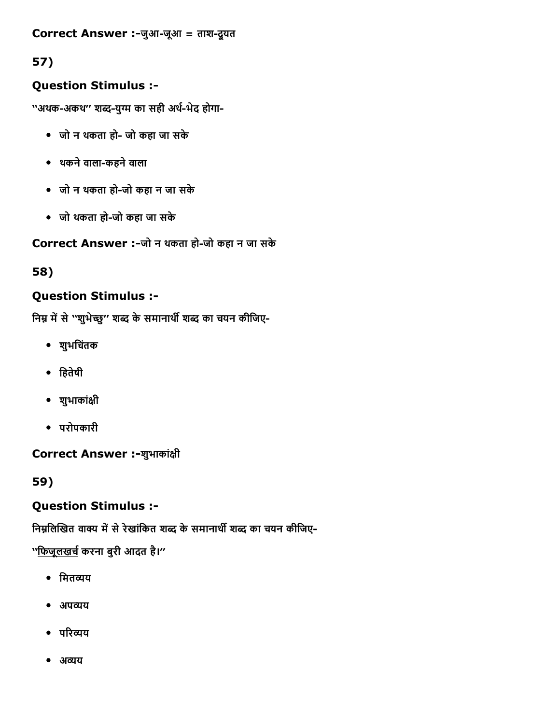## Correct Answer :-जुआ-जूआ = ताश-दूयत

# 57)

## Question Stimulus :

''अथक-अकथ'' शब्द-युग्म का सही अर्थ-भेद होगा-

- जो न थकता हो- जो कहा जा सके
- थकनेवालाकहनेवाला
- जो न थकता हो-जो कहा न जा सके
- जो थकता हो-जो कहा जा सके

Correct Answer :-जो न थकता हो-जो कहा न जा सके

58)

## Question Stimulus :

निम्न में से ''शुभेच्छु'' शब्द के समानार्थी शब्द का चयन कीजिए-

- शुभिचतंक
- िहतेषी
- शुभाकांāी
- परोपकारी

Correct Answer :-शुभाकांक्षी

59)

## Question Stimulus :

निम्नलिखित वाक्य में से रेखांकित शब्द के समानार्थी शब्द का चयन कीजिए-

''<u>फिजूलखर्च</u> करना बुरी आदत है।''

- मितव्यय
- अपव्यय
- परिव्यय
- अव्यय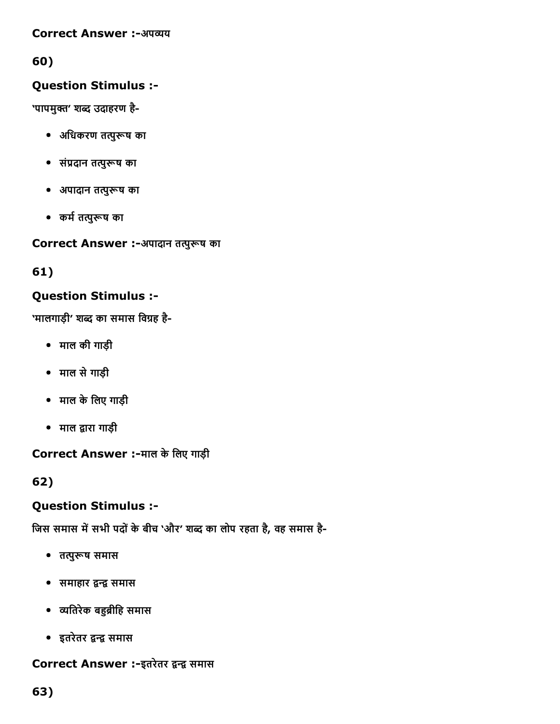#### **Correct Answer :-अपव्यय**

# 60)

## Question Stimulus :

'पापमुक्त' शब्द उदाहरण है-

- $\bullet$  अधिकरण तत्पुरूष का
- संप्रदान तत्पुरूष का
- $\bullet$  अपादान तत्पुरूष का
- कर्म तत्पुरूष का

Correct Answer :-अपादान तत्पुरूष का

61)

## Question Stimulus :

'मालगाड़ी' शब्द का समास विग्रह है-

- माल की गाड़ी
- माल सेगाड़ी
- माल केिलए गाड़ी
- माल द्वारा गाड़ी

Correct Answer :-माल के लिए गाड़ी

62)

## Question Stimulus :

जिस समास में सभी पदों के बीच 'और' शब्द का लोप रहता है, वह समास है-

- तत्पुरूष समास
- समाहार द्वन्द्व समास
- व्यतिरेक बहुब्रीहि समास
- इतरेतर द्वन्द्व समास

## Correct Answer :-इतरेतर द्वन्द्व समास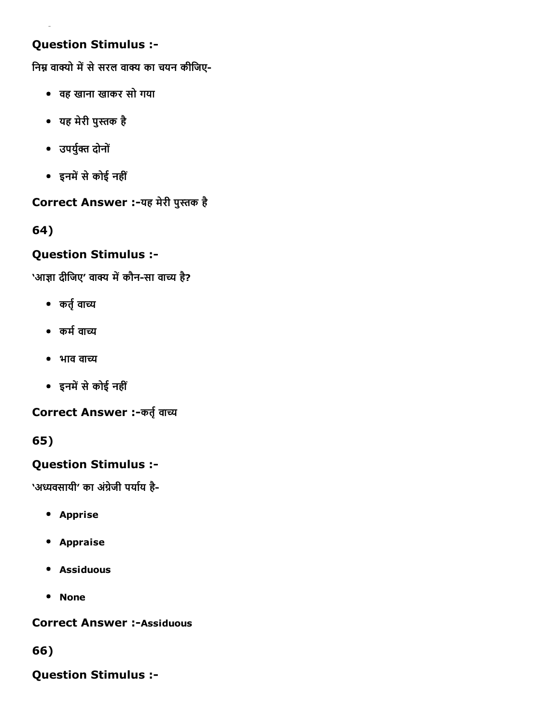## Question Stimulus :

निम्न वाक्यो में से सरल वाक्य का चयन कीजिए-

- वह खाना खाकर सो गया
- यह मेरी पुהּक है
- उपर्युक्त दोनों
- इनमें से कोई नहीं

# Correct Answer :-यह मेरी पुस्तक है

# 64)

## Question Stimulus :

'आज्ञा दीजिए' वाक्य में कौन-सा वाच्य है?

- कर्तृ वाच्य
- कर्म वाच्य
- भाव वाच्य
- इनमें से कोई नहीं

Correct Answer :-कर्तृ वाच्य

65)

# Question Stimulus :

'अध्यवसायी' का अंग्रेजी पर्याय है-

- **•** Apprise
- Appraise
- Assiduous
- None

**Correct Answer :- Assiduous** 

66)

Question Stimulus :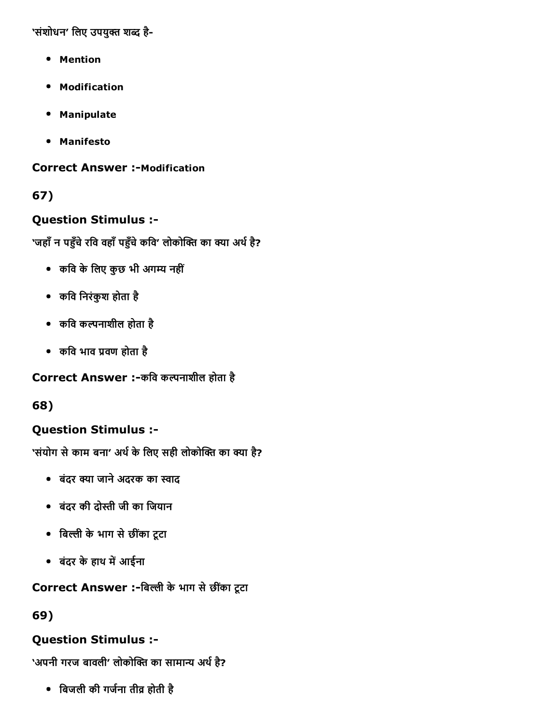'संशोधन' लिए उपयुक्त शब्द है-

- Mention
- Modification
- Manipulate
- Manifesto

**Correct Answer :-Modification** 

## 67)

### Question Stimulus :

'जहाँ न पहुँचे रवि वहाँ पहुँचे कवि' लोकोक्ति का क्या अर्थ है?

- कवि के लिए कुछ भी अगम्य नहीं
- किव िनरंकुश होता है
- किव कֽनाशील होता है
- कवि भाव प्रवण होता है

#### Correct Answer :-कवि कल्पनाशील होता है

68)

## Question Stimulus :

'संयोग से काम बना' अर्थ के लिए सही लोकोक्ति का क्या है?

- बंदर क्या जाने अदरक का स्वाद
- बंदर की दोהּी जी का िजयान
- िब׃ी केभाग सेछीकंा टूटा
- बंदर के हाथ में आईना

## Correct Answer :-बिल्ली के भाग से छींका टूटा

69)

## Question Stimulus :

'अपनी गरज बावली' लोकोक्ति का सामान्य अर्थ है?

िबजली की गज└ना ती▒ होती है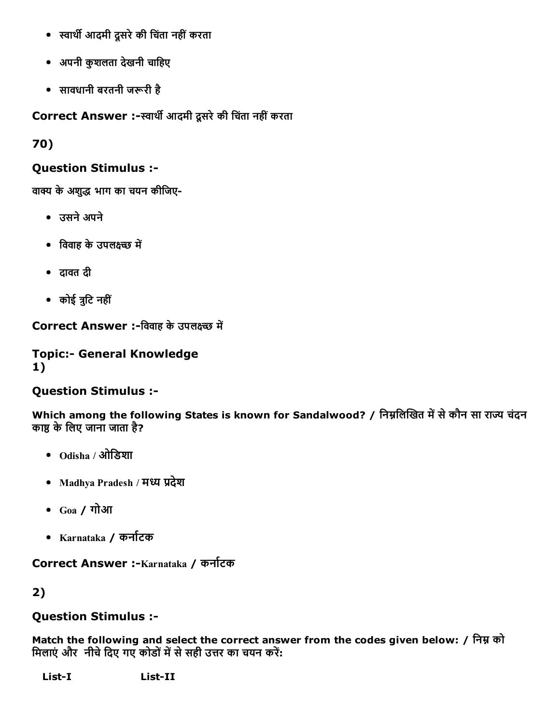- स्वार्थी आदमी दूसरे की चिंता नहीं करता
- अपनी कुशलता देखनी चािहए
- सावधानी बरतनी जरूरी है

Correct Answer :-स्वार्थी आदमी दूसरे की चिंता नहीं करता

70)

## Question Stimulus :

वाक्य के अशुद्ध भाग का चयन कीजिए-

- उसनेअपने
- विवाह के उपलक्ष्च्छ में
- दावत दी
- कोई ╨ुिट नहीं

Correct Answer :-विवाह के उपलक्ष्च्छ में

### **Topic:- General Knowledge** 1)

# Question Stimulus :

Which among the following States is known for Sandalwood? / निम्नलिखित में से कौन सा राज्य चंदन काष्ठ के लिए जाना जाता है?

- Odisha / ओिडशा
- Madhya Pradesh / मध्य प्रदेश
- Goa / गोआ
- Karnataka / कना└टक

Correct Answer :-Karnataka / कर्नाटक

2)

## Question Stimulus :

Match the following and select the correct answer from the codes given below: / िनђ को मिलाएं और नीचे दिए गए कोडों में से सही उत्तर का चयन करें:

List-I List-II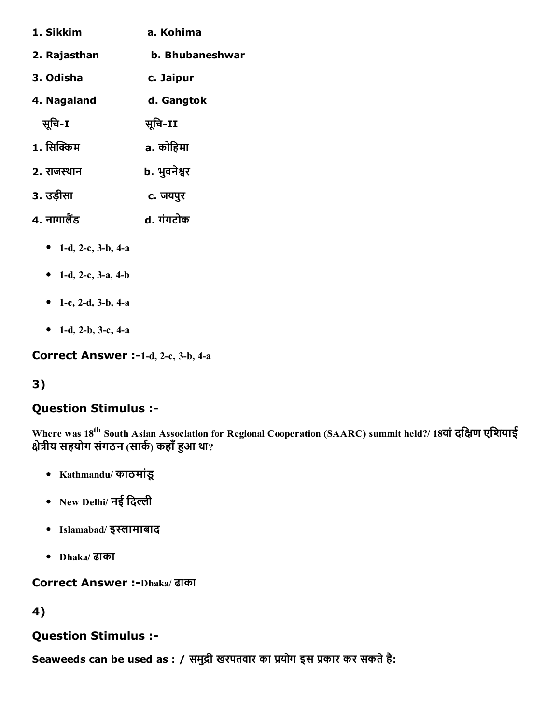| a. Kohima       |
|-----------------|
| b. Bhubaneshwar |
| c. Jaipur       |
| d. Gangtok      |
| सूचि-II         |
| a. कोहिमा       |
| b. भुवनेश्वर    |
| c. जयपुर        |
| d. गंगटोक       |
|                 |

- 1-d, 2-c, 3-b, 4-a
- 1-d, 2-c, 3-a, 4-b
- 1-c, 2-d, 3-b, 4-a
- 1-d, 2-b, 3-c, 4-a

Correct Answer :-1-d, 2-c, 3-b, 4-a

## 3)

#### Question Stimulus :

Where was 18<sup>th</sup> South Asian Association for Regional Cooperation (SAARC) summit held?/ 18वां दक्षिण एशियाई क्षेत्रीय सहयोग संगठन (सार्क) कहाँ हुआ था?

- Kathmandu/ काठमांडू
- New Delhi/ नई दिल्ली
- Islamabad/ इस्लामाबाद
- Dhaka/ ढाका

# Correct Answer :-Dhaka/ ढाका

## 4)

## Question Stimulus :

Seaweeds can be used as : / समुद्री खरपतवार का प्रयोग इस प्रकार कर सकते हैं: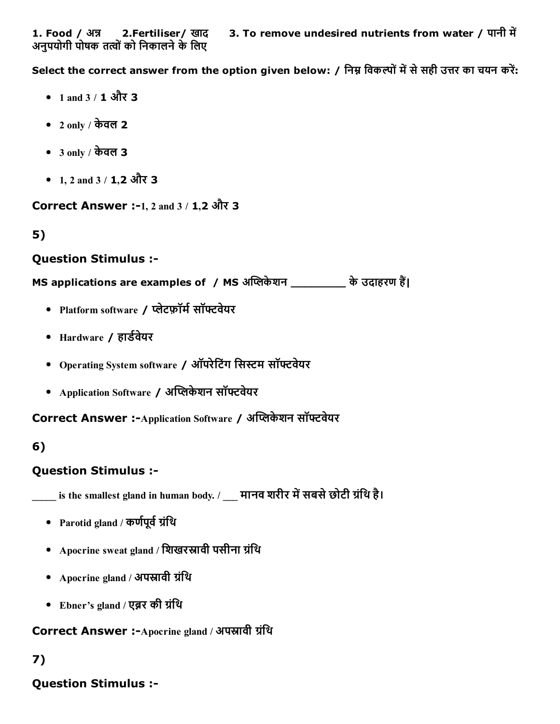Select the correct answer from the option given below: / निम्न विकल्पों में से सही उत्तर का चयन करें:

- 1 and  $3 / 1$  और 3
- 2 only / केवल 2
- 3 only / केवल 3
- 1, 2 and 3 / 1, 2 और 3

Correct Answer :-1, 2 and 3 / 1,2 और 3

5)

### Question Stimulus :

MS applications are examples of / MS अप्लिकेशन \_\_\_\_\_\_\_\_\_ के उदाहरण हैं।

- Platform software / प्लेटफ़ॉर्म सॉफ्टवेयर
- Hardware / हार्डवेयर
- Operating System software / ऑपरेटिंग सिस्टम सॉफ्टवेयर
- Application Software / अप्लिकेशन सॉफ्टवेयर

Correct Answer :-Application Software / अप्लिकेशन सॉफ्टवेयर

## 6)

## Question Stimulus :

 $\_$  is the smallest gland in human body. /  $\_$  मानव शरीर में सबसे छोटी ग्रंथि है।

- Parotid gland / कर्णपूर्व ग्रंथि
- Apocrine sweat gland / शिखरस्रावी पसीना ग्रंथि
- Apocrine gland / अपस्रावी ग्रंथि
- Ebner's gland / एब्रर की ग्रंथि

```
Correct Answer :-Apocrine gland / अपस्रावी ग्रंथि
```
# 7)

## Question Stimulus :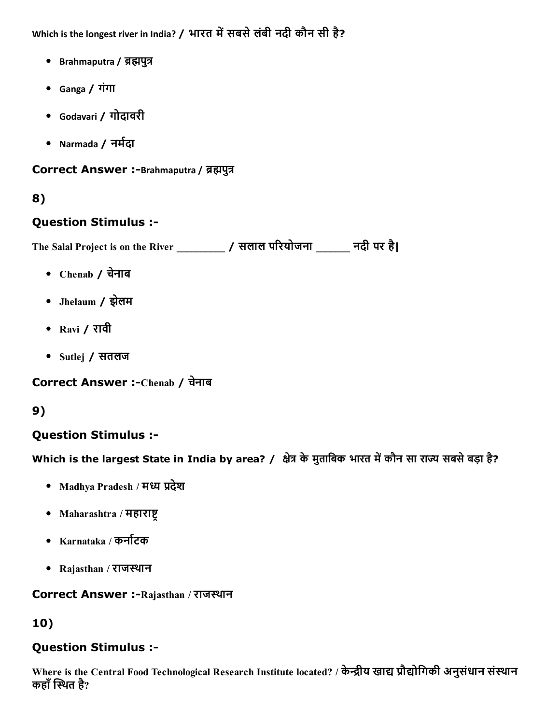Which is the longest river in India? / भारत में सबसे लंबी नदी कौन सी है?

- Brahmaputra / ब्रह्मपुत्र
- Ganga / गंगा
- Godavari / गोदावरी
- Narmada / नर्मदा

#### Correct Answer :-Brahmaputra / ब्रह्मपुत्र

## 8)

### Question Stimulus :

The Salal Project is on the River \_\_\_\_\_\_\_\_\_\_ / सलाल पδरयोजना \_\_\_\_\_\_\_ नदी पर है|

- Chenab / चनेाब
- Jhelaum / झलेम
- Ravi / रावी
- Sutlej / सतलज

Correct Answer :-Chenab / चेनाब

## 9)

## Question Stimulus :

Which is the largest State in India by area? / क्षेत्र के मुताबिक भारत में कौन सा राज्य सबसे बड़ा है?

- Madhya Pradesh / मध्य प्रदेश
- Maharashtra / महाराष्ट
- Karnataka / कर्नाटक
- Rajasthan / राजथान

#### Correct Answer :-Rajasthan / राजस्थान

## 10)

## Question Stimulus :

Where is the Central Food Technological Research Institute located? / केन्द्रीय खाद्य प्रौद्योगिकी अनुसंधान संस्थान कहाँ स्थित है?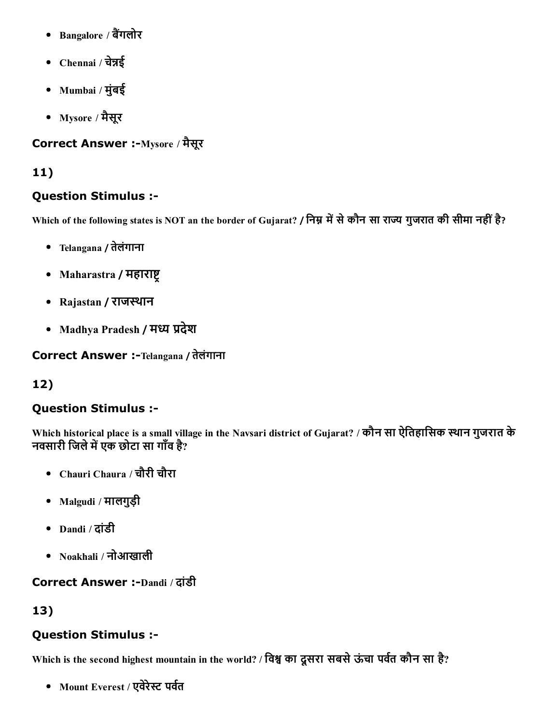- Bangalore / बैंगलोर
- Chennai / चेन्नई
- Mumbai / मुंबई
- Mysore / मैसूर

# Correct Answer :-Mysore / मैसूर

# 11)

## Question Stimulus :

Which of the following states is NOT an the border of Gujarat? / निम्न में से कौन सा राज्य गुजरात की सीमा नहीं है?

- Telangana / तेलंगाना
- Maharastra / महाराष्ट्र
- Rajastan / राजथान
- Madhya Pradesh / मध्य प्रदेश

Correct Answer :-Telangana / तेलंगाना

# 12)

# Question Stimulus :

Which historical place is a small village in the Navsari district of Gujarat? / कौन सा ऐितहािसक थान गुजरात के न्मानगण्डलेम् स्टब्स् अन्यतः स्टब्स्<br>नवसारी जिले में एक छोटा सा गाँव है?

- Chauri Chaura / चौरी चौरा
- Malgudi / मालगुड़ी
- Dandi / दांडी
- Noakhali / नोआखाली

# **Correct Answer :-Dandi / दांडी**

# 13)

# Question Stimulus :

Which is the second highest mountain in the world? / विश्व का दूसरा सबसे ऊंचा पर्वत कौन सा है?

• Mount Everest / एवेरेस्ट पर्वत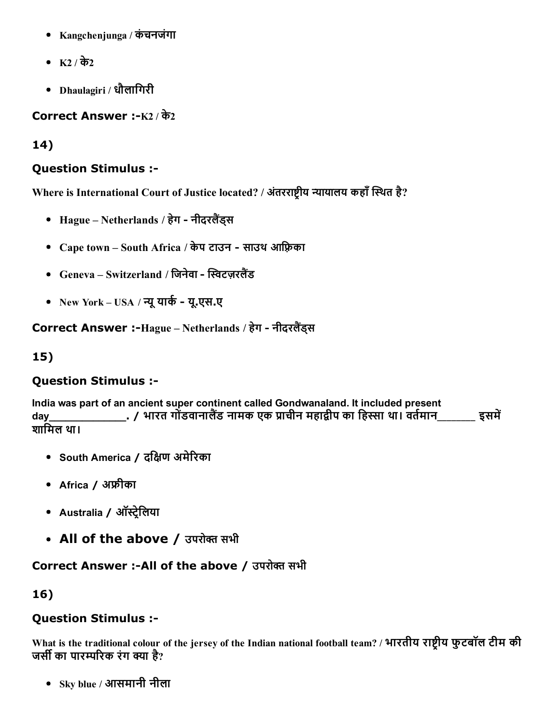- Kangchenjunga / कंचनजंगा
- K2 / के2
- Dhaulagiri / धौलािगरी

Correct Answer :- $K2/\overline{\sigma}2$ 

14)

## Question Stimulus :

Where is International Court of Justice located? / अंतरराष्ट्रीय न्यायालय कहाँ स्थित है?

- Hague Netherlands / हेग नीदरलैंड्स
- Cape town South Africa / केप टाउन साउथ आफ़्रिका
- Geneva Switzerland / जिनेवा स्विटजरलैंड
- New York USA / न्यू यार्क यू.एस.ए

Correct Answer :-Hague – Netherlands / हेग - नीदरलैंडस

15)

# Question Stimulus :

India was part of an ancient super continent called Gondwanaland. It included present day\_\_\_\_\_\_\_\_\_\_\_\_\_\_\_\_\_\_\_\_\_\_/ भारत गोंडवानालैंड नामक एक प्राचीन महाद्वीप का हिस्सा था। वर्तमान\_\_\_\_\_\_\_\_ इसमें शािमल था।

- South America / दिāण अमेδरका
- Africa / अफ्रीका
- Australia / ऑस्ट्रेलिया
- All of the above / उपरोक्त सभी

## Correct Answer :-All of the above / उपरोक्त सभी

16)

## Question Stimulus :

What is the traditional colour of the jersey of the Indian national football team? / भारतीय राष्टीय फुटबॉल टीम की जर्सी का पारम्परिक रंग क्या है?

Sky blue / आसमानी नीला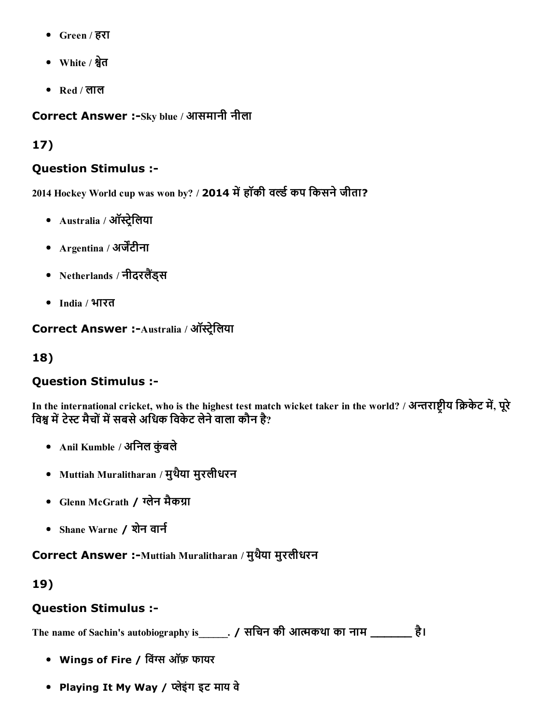- Green / हरा
- White / קेत
- Red / लाल

Correct Answer :-Sky blue / आसमानी नीला

# 17)

## Question Stimulus :

2014 Hockey World cup was won by? / 2014 में हॉकी वर्ल्ड कप किसने जीता?

- $\bullet$  Australia / ऑस्ट्रेलिया
- $\Delta$ rgentina / अर्जेंटीना
- Netherlands / नीदरलैंड्स
- India / भारत

Correct Answer :-Australia / ऑस्ट्रेलिया

18)

# Question Stimulus :

In the international cricket, who is the highest test match wicket taker in the world? / अन्तराष्टीय क्रिकेट में, पूरे विश्व में टेस्ट मैचों में सबसे अधिक विकेट लेने वाला कौन है?

- Anil Kumble / अनिल कुंबले
- Muttiah Muralitharan / मुथयैा मुरलीधरन
- Glenn McGrath / ग्लेन मैकग्रा
- Shane Warne / शेन वार्न

Correct Answer :-Muttiah Muralitharan / मुथैया मुरलीधरन

# 19)

# Question Stimulus :

The name of Sachin's autobiography is \_\_\_\_\_. / सचिन की आत्मकथा का नाम \_\_\_\_\_\_\_\_ है।

- Wings of Fire / विंग्स ऑफ़ फायर
- Playing It My Way / Юेइंग इट माय वे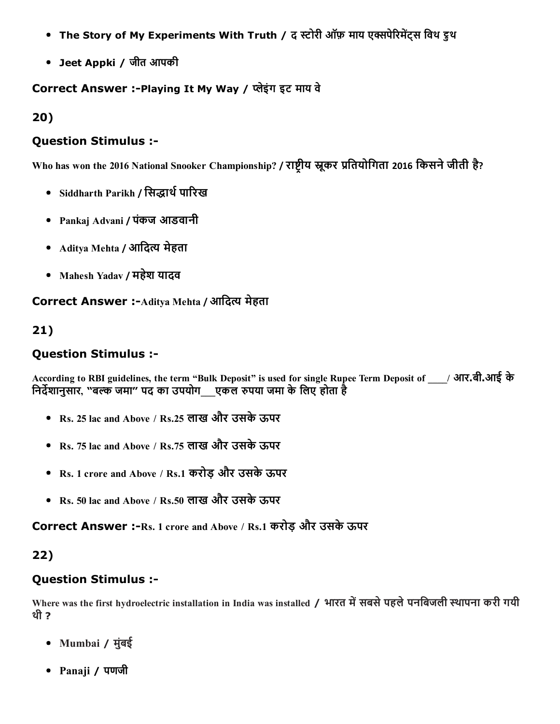- The Story of My Experiments With Truth / द स्टोरी ऑफ़ माय एक्सपेरिमेंट्स विथ ड्रुथ
- Jeet Appki / जीत आपकी

### Correct Answer :-Playing It My Way / प्लेइंग इट माय वे

20)

### Question Stimulus :

Who has won the 2016 National Snooker Championship? / राष्ट्रीय स्नूकर प्रतियोगिता 2016 किसने जीती है?

- Siddharth Parikh / सिद्धार्थ पारिख
- Pankaj Advani / पंकज आडवानी
- Aditya Mehta / आदित्य मेहता
- Mahesh Yadav / महेश यादव

Correct Answer :-Aditya Mehta / आदित्य मेहता

## 21)

## Question Stimulus :

According to RBI guidelines, the term "Bulk Deposit" is used for single Rupee Term Deposit of \_\_\_\_/ आर.बी.आई के निर्देशानुसार, "बल्क जमा" पद का उपयोग\_\_ एकल रुपया जमा के लिए होता है

- Rs. 25 lac and Above / Rs.25 लाख और उसकेऊपर
- Rs. 75 lac and Above / Rs.75 लाख और उसकेऊपर
- Rs. 1 crore and Above / Rs.1 करोड़ और उसकेऊपर
- Rs. 50 lac and Above / Rs.50 लाख और उसकेऊपर

Correct Answer :-Rs. 1 crore and Above / Rs.1 करोड़ और उसके ऊपर

## 22)

## Question Stimulus :

Where was the first hydroelectric installation in India was installed / भारत में सबसे पहले पनबिजली स्थापना करी गयी थी ?

- Mumbai / मुंबई
- Panaji / पणजी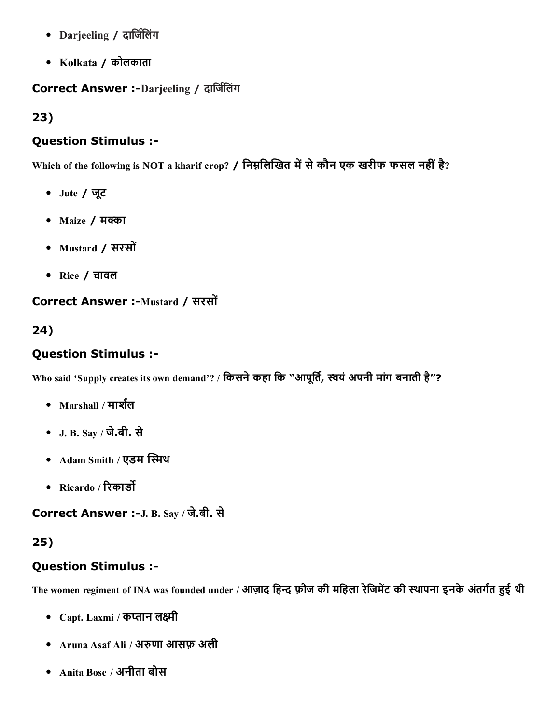- Darjeeling / दार्जिलिंग
- Kolkata / कोलकाता

Correct Answer :-Darjeeling / दार्जिलिंग

23)

### Question Stimulus :

Which of the following is NOT a kharif crop? / निम्नलिखित में से कौन एक खरीफ फसल नहीं है?

- Jute / जूट
- $•$  Maize / मक्का
- Mustard / सरसों
- Rice / चावल

## Correct Answer :-Mustard / सरसों

## 24)

## Question Stimulus :

Who said 'Supply creates its own demand'? / किसने कहा कि "आपूर्ति, स्वयं अपनी मांग बनाती है"?

- $\bullet$  Marshall / मार्शल
- J. B. Say / जे.बी. से
- Adam Smith / एडम स्मिथ
- Ricardo / रिकार्डो

Correct Answer :-J. B. Say / जे.बी. से

# 25)

# Question Stimulus :

The women regiment of INA was founded under / आज़ाद हिन्द फ़ौज की महिला रेजिमेंट की स्थापना इनके अंतर्गत हुई थी

- Capt. Laxmi / कप्तान लक्ष्मी
- Aruna Asaf Ali / अरुणा आसफ़ अली
- Anita Bose / अनीता बोस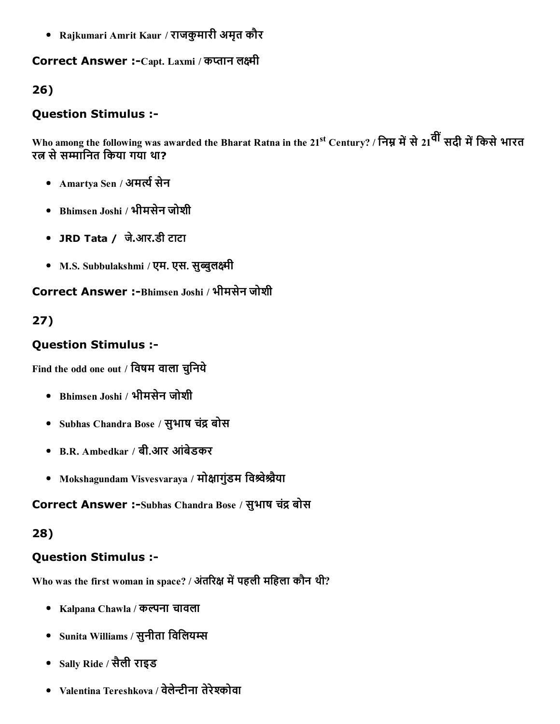Rajkumari Amrit Kaur / राजकुमारी अमृत कौर

Correct Answer :-Capt. Laxmi / कप्तान लक्ष्मी

## 26)

### Question Stimulus :

Who among the following was awarded the Bharat Ratna in the 21<sup>st</sup> Century? / निम्न में से 21<sup>वीं</sup> सदी में किसे भारत रत्न से सम्मानित किया गया था?

- Amartya Sen / अमर्त्य सेन
- Bhimsen Joshi / भीमसेन जोशी
- JRD Tata / जे.आर.डी टाटा
- M.S. Subbulakshmi / एम. एस. सुब्बुलक्ष्मी

Correct Answer :-Bhimsen Joshi / भीमसेन जोशी

# 27)

## Question Stimulus :

Find the odd one out / विषम वाला चुनिये

- Bhimsen Joshi / भीमसेन जोशी
- Subhas Chandra Bose / सुभाष चंद्र बोस
- B.R. Ambedkar / बी.आर आंबेडकर
- Mokshagundam Visvesvaraya / मोक्षागुंडम विश्र्वेश्र्वैया

Correct Answer :-Subhas Chandra Bose / सुभाष चंद्र बोस

#### 28)

## Question Stimulus :

Who was the first woman in space? / अंतरिक्ष में पहली महिला कौन थी?

- Kalpana Chawla / कल्पना चावला
- Sunita Williams / सुनीता विलियम्स
- Sally Ride / सैली राइड
- Valentina Tereshkova / वेलेन्टीना तेरेश्कोवा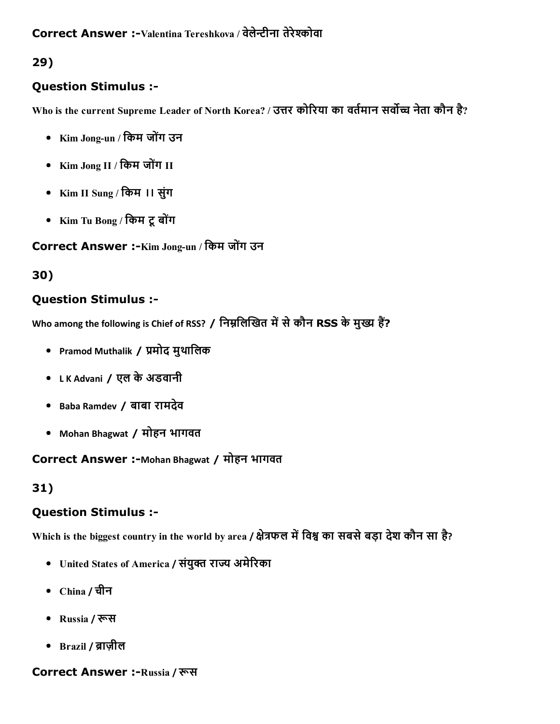## Question Stimulus :

Who is the current Supreme Leader of North Korea? / उत्तर कोरिया का वर्तमान सर्वोच्च नेता कौन है?

- Kim Jong-un / किम जोंग उन
- Kim Jong II / किम जोंग II
- Kim II Sung / िकम ।। सुंग
- Kim Tu Bong / किम टू बोंग

Correct Answer :-Kim Jong-un / किम जोंग उन

# 30)

## Question Stimulus :

Who among the following is Chief of RSS? / निम्नलिखित में से कौन RSS के मुख्य हैं?

- Pramod Muthalik / प्रमोद मुथालिक
- L K Advani / एल केअडवानी
- Baba Ramdev / बाबा रामदेव
- Mohan Bhagwat / मोहन भागवत

Correct Answer :-Mohan Bhagwat / मोहन भागवत

# 31)

# Question Stimulus :

Which is the biggest country in the world by area / क्षेत्रफल में विश्व का सबसे बड़ा देश कौन सा है?

- United States of America / संयुक्त राज्य अमेरिका
- China / चीन
- Russia / रूस
- Brazil / █ाज़ील

# Correct Answer :-Russia / रूस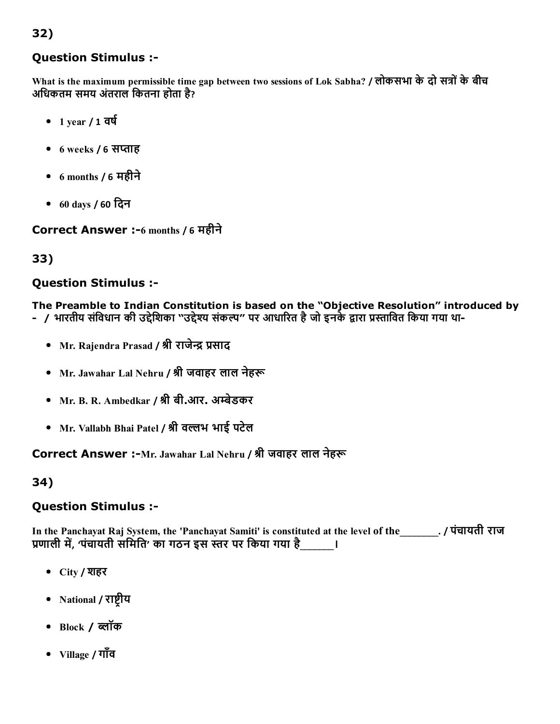### Question Stimulus :

What is the maximum permissible time gap between two sessions of Lok Sabha? / लोकसभा के दो सत्रों के बीच अिधकतम समय अंतराल िकतना होता है?

- $-1$  year / 1 वर्ष
- $6$  weeks /  $6$  सप्ताह
- 6 months / 6 महीने
- 60 days / 60 िदन

Correct Answer :6 months / 6 महीने

33)

#### Question Stimulus :

The Preamble to Indian Constitution is based on the "Objective Resolution" introduced by

- / भारतीय संविधान की उद्देशिका "उद्देश्य संकल्प" पर आधारित है जो इनके द्वारा प्रस्तावित किया गया था-
	- Mr. Rajendra Prasad / श्री राजेन्द्र प्रसाद
	- Mr. Jawahar Lal Nehru / श्री जवाहर लाल नेहरू
	- Mr. B. R. Ambedkar / श्री बी.आर. अम्बेडकर
	- Mr. Vallabh Bhai Patel / श्री वल्लभ भाई पटेल

Correct Answer :-Mr. Jawahar Lal Nehru / श्री जवाहर लाल नेहरू

34)

## Question Stimulus :

In the Panchayat Raj System, the 'Panchayat Samiti' is constituted at the level of the\_\_\_\_\_\_\_\_. / पंचायती राज प्रणाली में, 'पंचायती समिति' का गठन इस स्तर पर किया गया है \_\_\_\_\_\_।

- City / शहर
- National / राष्टीय
- $\bullet$  Block / ब्लॉक
- Village / गाँव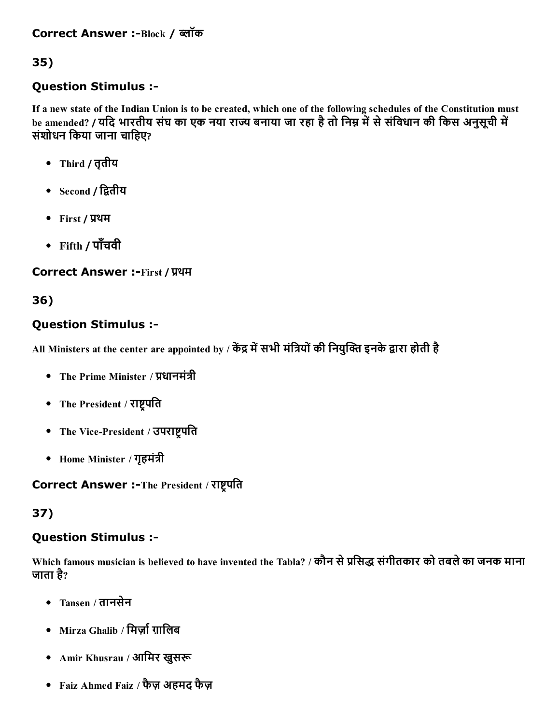### Correct Answer :-Block / ब्लॉक

## 35)

### Question Stimulus :

If a new state of the Indian Union is to be created, which one of the following schedules of the Constitution must be amended? / यदि भारतीय संघ का एक नया राज्य बनाया जा रहा है तो निम्न में से संविधान की किस अनुसूची में संशोधन किया जाना चाहिए?

- Third / तृतीय
- Second / द्वितीय
- First / प्रथम
- Fifth / पाँचवी

Correct Answer :-First / प्रथम

## 36)

### Question Stimulus :

All Ministers at the center are appointed by / केंद्र में सभी मंत्रियों की नियुक्ति इनके द्वारा होती है

- The Prime Minister / प्रधानमंत्री
- The President / राष्ट्रपति
- The Vice-President / उपराष्ट्रपति
- Home Minister / गृहमंत्री

Correct Answer :-The President / राष्ट्रपति

#### 37)

#### Question Stimulus :

Which famous musician is believed to have invented the Tabla? / कौन से प्रसिद्ध संगीतकार को तबले का जनक माना जाता है?

- Tansen / तानसेन
- $\bullet$  Mirza Ghalib / मिर्जा ग़ालिब
- Amir Khusrau / आमिर खुसरू
- Faiz Ahmed Faiz / फैज़ अहमद फैज़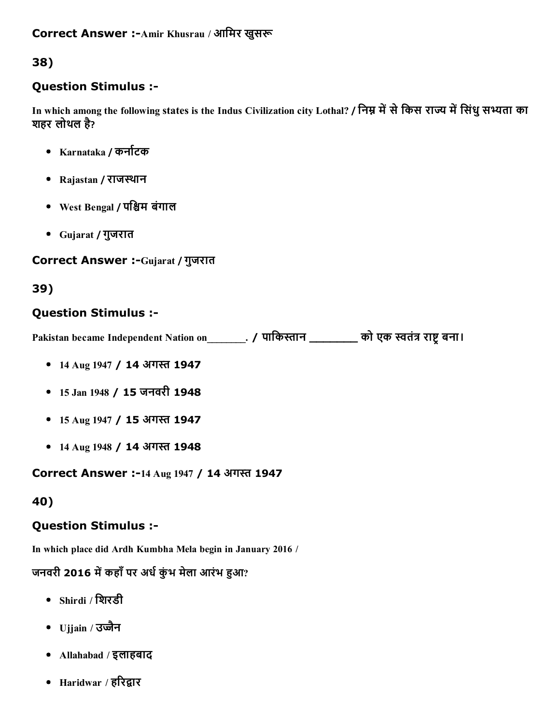### Correct Answer :-Amir Khusrau / आमिर खुसरू

## 38)

### Question Stimulus :

In which among the following states is the Indus Civilization city Lothal? / निम्न में से किस राज्य में सिंधु सभ्यता का शहर लोथल है?

- Karnataka / कर्नाटक
- Rajastan / राजथान
- West Bengal / पश्चिम बंगाल
- Gujarat / गुजरात

### Correct Answer :-Gujarat / गुजरात

## 39)

## Question Stimulus :

Pakistan became Independent Nation on [1] . / पाकिस्तान \_\_\_\_\_\_\_\_\_\_ को एक स्वतंत्र राष्ट्र बना।

- 14 Aug 1947 / 14 अगस्त 1947
- 15 Jan 1948 / 15 जनवरी 1948
- 15 Aug 1947 / 15 अगस्त 1947
- 14 Aug 1948 / 14 अगस्त 1948

Correct Answer :-14 Aug 1947 / 14 अगस्त 1947

#### 40)

#### Question Stimulus :

In which place did Ardh Kumbha Mela begin in January 2016 /

### जनवरी 2016 में कहाँ पर अर्ध कुंभ मेला आरंभ हुआ?

- Shirdi / िशरडी
- $U$ jjain / उज्जैन
- Allahabad / इलाहबाद
- Haridwar / हरिद्वार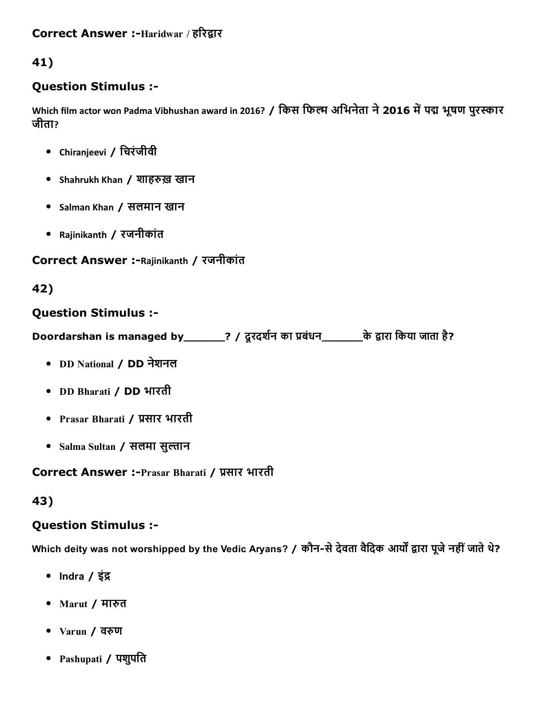### Correct Answer :-Haridwar / हरिद्वार

## 41)

### Question Stimulus :

Which film actor won Padma Vibhushan award in 2016? / किस फिल्म अभिनेता ने 2016 में पद्म भूषण पुरस्कार जीता?

- Chiranjeevi / िचरंजीवी
- Shahrukh Khan / शाहरुख़ खान
- Salman Khan / सलमान खान
- Rajinikanth / रजनीकांत

#### Correct Answer :-Rajinikanth / रजनीकांत

#### 42)

#### Question Stimulus :

Doordarshan is managed by\_\_\_\_\_\_? / दूरदर्शन का प्रबंधन\_\_\_\_\_\_\_\_के द्वारा किया जाता है?

- DD National / DD नेशनल
- DD Bharati / DD भारती
- Prasar Bharati / प्रसार भारती
- Salma Sultan / सलमा सुल्तान

#### Correct Answer :-Prasar Bharati / प्रसार भारती

#### 43)

#### Question Stimulus :

Which deity was not worshipped by the Vedic Aryans? / कौन-से देवता वैदिक आर्यों द्वारा पूजे नहीं जाते थे?

- Indra  $/$  इंद्र
- Marut / मारुत
- Varun / वरुण
- Pashupati / पशुपति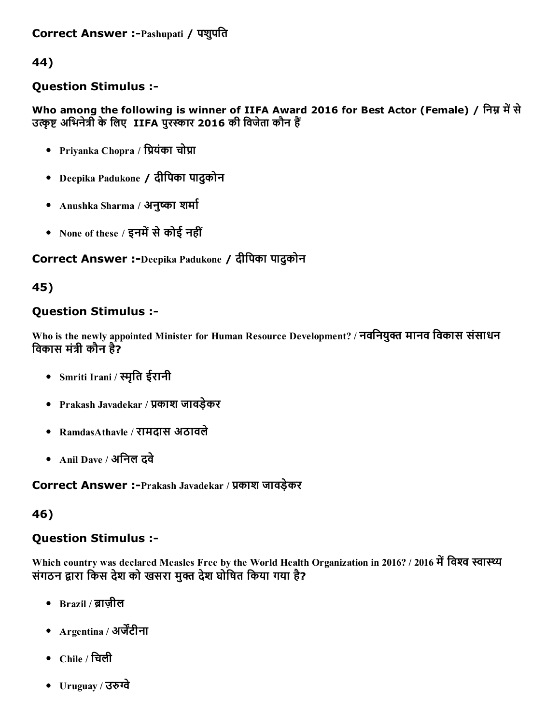### Question Stimulus :

Who among the following is winner of IIFA Award 2016 for Best Actor (Female) / निम्न में से उत्कृष्ट अभिनेत्री के लिए IIFA पुरस्कार 2016 की विजेता कौन हैं

- Priyanka Chopra / प्रियंका चोप्रा
- Deepika Padukone / दीिपका पादुकोन
- Anushka Sharma / अनुष्का शर्मा
- None of these / इनमें से कोई नहीं

### Correct Answer :-Deepika Padukone / दीपिका पादुकोन

45)

### Question Stimulus :

Who is the newly appointed Minister for Human Resource Development? / नवनियुक्त मानव विकास संसाधन विकास मंत्री कौन है?

- Smriti Irani / मृित ईरानी
- Prakash Javadekar / प्रकाश जावड़ेकर
- RamdasAthavle / रामदास अठावले
- Anil Dave / अनिल दवे

Correct Answer :-Prakash Javadekar / प्रकाश जावड़ेकर

#### 46)

## Question Stimulus :

Which country was declared Measles Free by the World Health Organization in 2016? / 2016 में विश्व स्वास्थ्य संगठन द्वारा किस देश को खसरा मुक्त देश घोषित किया गया है?

- $\bullet$  Brazil / ब्राजील
- Argentina / अर्जेंटीना
- $\bullet$  Chile / चिली
- Uruguay / उरुग्वे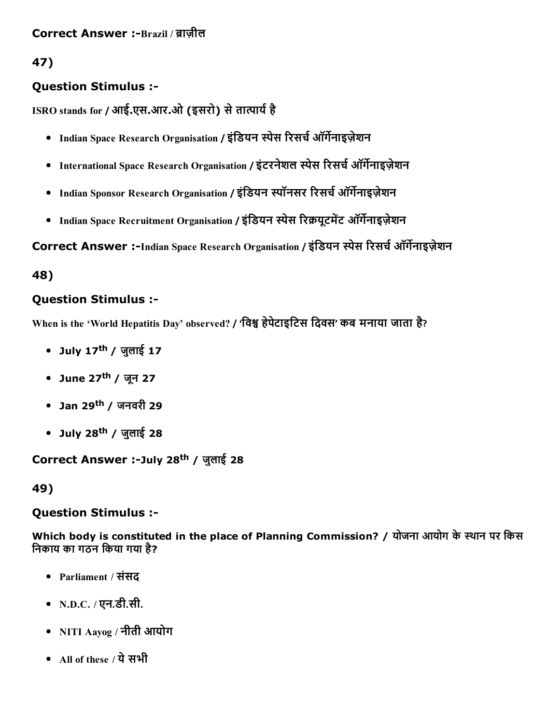# Question Stimulus :

ISRO stands for / आई.एस.आर.ओ (इसरो) से तात्पार्य है

- Indian Space Research Organisation / इंडियन स्पेस रिसर्च ऑर्गेनाइज़ेशन
- International Space Research Organisation / इंटरनेशल स्पेस रिसर्च ऑर्गेनाइज़ेशन
- Indian Sponsor Research Organisation / इंडियन स्पॉनसर रिसर्च ऑर्गेनाइज़ेशन
- Indian Space Recruitment Organisation / इंडियन स्पेस रिक्रयूटमेंट ऑर्गेनाइज़ेशन

Correct Answer :-Indian Space Research Organisation / इंडियन स्पेस रिसर्च ऑर्गेनाइज़ेशन

48)

# Question Stimulus :

When is the 'World Hepatitis Day' observed? / 'िवק हेपेटाइिटस िदवस' कब मनाया जाता है?

- July 17<sup>th</sup> / जुलाई 17
- June 27<sup>th</sup> / जून 27
- Jan 29<sup>th</sup> / जनवरी 29
- July 28<sup>th</sup> / जुलाई 28

Correct Answer :-July 28<sup>th</sup> / जुलाई 28

49)

# Question Stimulus :

Which body is constituted in the place of Planning Commission? / योजना आयोग के स्थान पर किस िनकाय का गठन िकया गया है?

- Parliament / संसद
- N.D.C. / एन.डी.सी.
- NITI Aayog / नीती आयोग
- All of these / ये सभी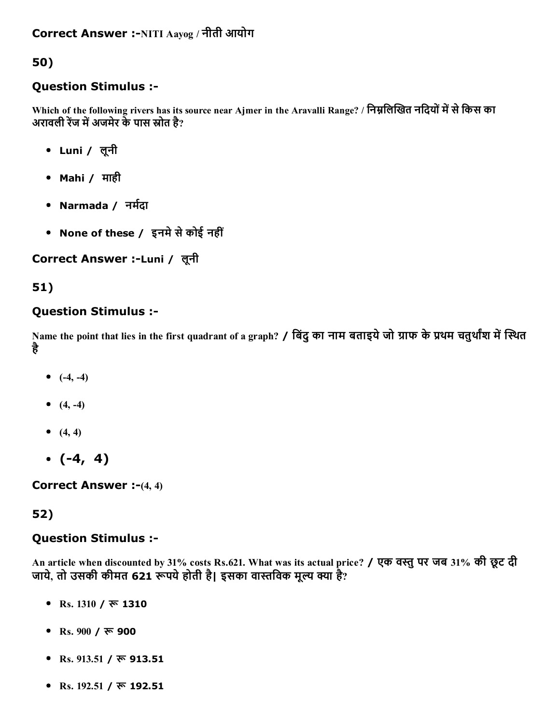### Question Stimulus :

Which of the following rivers has its source near Ajmer in the Aravalli Range? / निम्नलिखित नदियों में से किस का अरावली रेंज में अजमेर के पास स्रोत है?

- Luni / लूनी
- Mahi / माही
- Narmada / नर्मदा
- None of these / इनमे से कोई नहीं

## Correct Answer :-Luni / लूनी

## 51)

### Question Stimulus :

Name the point that lies in the first quadrant of a graph? / बिंदु का नाम बताइये जो ग्राफ के प्रथम चतुर्थांश में स्थित है

- $(-4, -4)$
- $(4, -4)$
- $(4, 4)$
- $\bullet$  (-4, 4)

**Correct Answer :-(4, 4)** 

## 52)

#### Question Stimulus :

An article when discounted by 31% costs Rs.621. What was its actual price? / एक वस्तु पर जब 31% की छूट दी जाये, तो उसकी कीमत 621 रूपये होती है। इसका वास्तविक मूल्य क्या है?

- Rs.  $1310 / \overline{\pi}$  1310
- Rs.  $900 / \overline{\mathbf{x}}$  900
- Rs. 913.51 /  $\overline{\mathbf{v}}$  913.51
- Rs. 192.51 / रू 192.51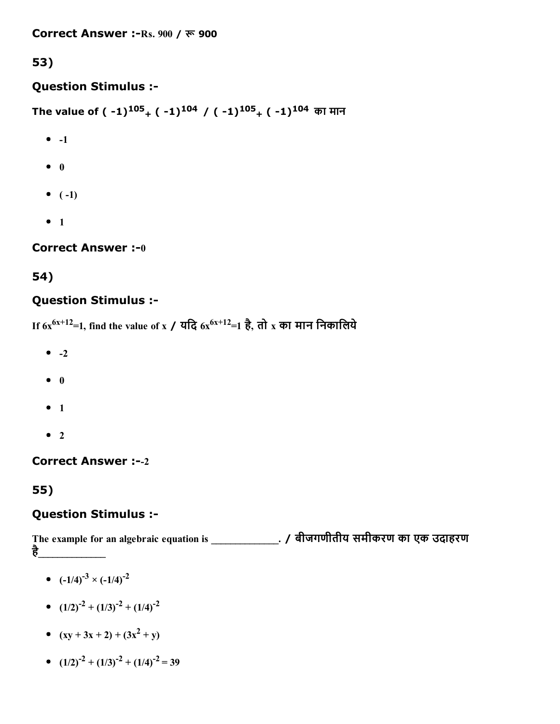## Question Stimulus :

The value of ( -1) $^{105}$ <sub>+</sub> ( -1) $^{104}$  / ( -1) $^{105}$ <sub>+</sub> ( -1) $^{104}$  का मान

- $\bullet$  -1
- $\bullet$  0
- $\bullet$  (-1)
- $1$

## **Correct Answer :- 0**

# 54)

# Question Stimulus :

If  $6x^{6x+12}$ =1, find the value of x / यदि  $6x^{6x+12}$ =1 है, तो  $\mathrm{x}$  का मान निकालिये

- $\bullet$  -2
- $\bullet$  0
- $1$
- $\bullet$  2

# Correct Answer :--2

# 55)

# Question Stimulus :

The example for an algebraic equation is \_\_\_\_\_\_\_\_\_\_\_\_\_\_. / बीजगणीतीय समीकरण का एक उदाहरण है\_\_\_\_\_\_\_\_\_\_\_\_\_\_

- $(-1/4)^{-3} \times (-1/4)^{-2}$
- $(1/2)^{-2} + (1/3)^{-2} + (1/4)^{-2}$
- $(xy + 3x + 2) + (3x<sup>2</sup> + y)$
- $(1/2)^{-2} + (1/3)^{-2} + (1/4)^{-2} = 39$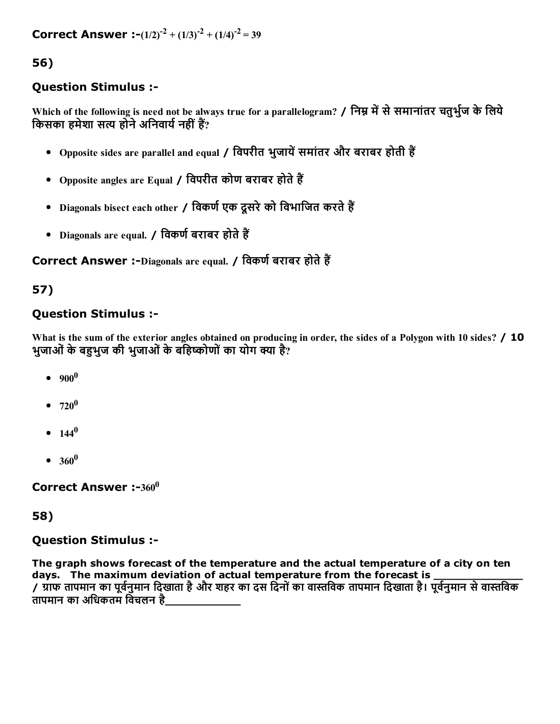**Correct Answer** :- $(1/2)^{-2} + (1/3)^{-2} + (1/4)^{-2} = 39$ 

56)

### Question Stimulus :

Which of the following is need not be always true for a parallelogram? / निम्न में से समानांतर चतुर्भुज के लिये किसका हमेशा सत्य होने अनिवार्य नहीं हैं?

- Opposite sides are parallel and equal / विपरीत भुजायें समांतर और बराबर होती हैं
- Opposite angles are Equal / विपरीत कोण बराबर होते हैं
- Diagonals bisect each other / विकर्ण एक दसरे को विभाजित करते हैं
- Diagonals are equal. / विकर्ण बराबर होते हैं

Correct Answer :-Diagonals are equal. / विकर्ण बराबर होते हैं

## 57)

## Question Stimulus :

What is the sum of the exterior angles obtained on producing in order, the sides of a Polygon with 10 sides? / 10 भुजाओं के बहभुज की भुजाओं के बहिष्कोणों का योग क्या है?

- $900^0$
- 720 0
- $144^0$
- $360^0$

Correct Answer :-360 $^0$ 

#### 58)

#### Question Stimulus :

The graph shows forecast of the temperature and the actual temperature of a city on ten days. The maximum deviation of actual temperature from the forecast is / ग्राफ तापमान का पूर्वनुमान दिखाता है और शहर का दस दिनों का वास्तविक तापमान दिखाता है। पूर्वनुमान से वास्तविक तापमान का अधिकतम विचलन है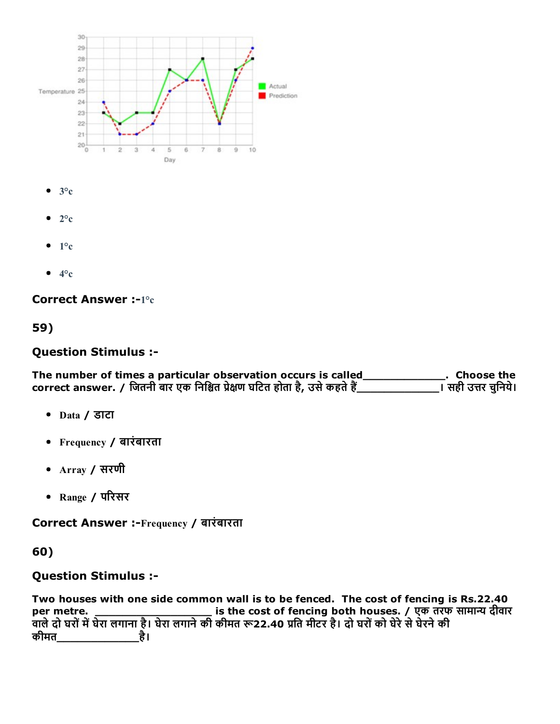

- $\bullet$  3°c
- $\bullet$  2°c
- $\bullet$  1°c
- $\bullet$  4<sup>o</sup>c

#### Correct Answer :-1°c

#### 59)

#### Question Stimulus :

The number of times a particular observation occurs is called\_\_\_\_\_\_\_\_\_\_\_\_\_\_\_. Choose the correct answer. / जितनी बार एक निश्चित प्रेक्षण घटित होता है, उसे कहते हैं\_\_\_\_\_\_\_\_\_\_\_\_\_\_\_\_\_\_\_\_\_। सही उत्तर चुनिये। correct answer. / िजतनी बार एक िनिמत ▀ेāण घिटत होता है, उसेकहतेह╒\_\_\_\_\_\_\_\_\_\_\_\_। सही उΟर चुिनये।

- Data / डाटा
- Frequency / बारंबारता
- Array / सरणी
- Range / पδरसर

Correct Answer :-Frequency / बारंबारता

#### 60)

## Question Stimulus :

Two houses with one side common wall is to be fenced. The cost of fencing is Rs.22.40 per metre. \_\_\_\_\_\_\_\_\_\_\_\_\_\_\_\_\_\_\_\_\_\_\_\_\_ is the cost of fencing both houses. / एक तरफ सामान्य दीवार .<br>वाले दो घरों में घेरा लगाना है। घेरा लगाने की कीमत रू22.40 प्रति मीटर है। दो घरों को घेरे से घेरने की कीमत\_\_\_\_\_\_\_\_\_\_\_\_है।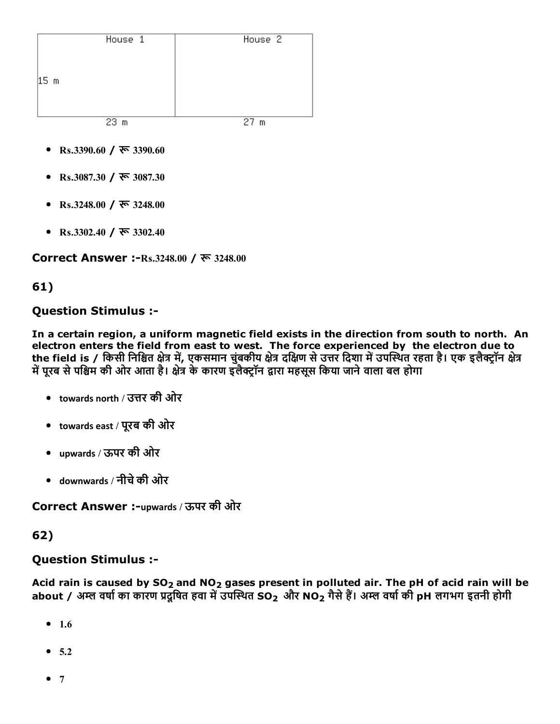|                 | House 1         | House <sub>2</sub> |
|-----------------|-----------------|--------------------|
| 15 <sub>m</sub> |                 |                    |
|                 | 23 <sub>m</sub> | 27 <sub>m</sub>    |

- Rs.3390.60 /  $\overline{\mathcal{R}}$  3390.60
- Rs.3087.30 / रू 3087.30
- Rs.3248.00 / रू 3248.00
- Rs.3302.40 /  $\overline{\mathcal{R}}$  3302.40

Correct Answer :-Rs.3248.00 / रू 3248.00

#### 61)

#### Question Stimulus :

In a certain region, a uniform magnetic field exists in the direction from south to north. An electron enters the field from east to west. The force experienced by the electron due to the field is / किसी निश्चित क्षेत्र में, एकसमान चुंबकीय क्षेत्र दक्षिण से उत्तर दिशा में उपस्थित रहता है। एक इलैक्ट्रॉन क्षेत्र में पूरब से पश्चिम की ओर आता है। क्षेत्र के कारण इलैक्ट्रॉन द्वारा महसूस किया जाने वाला बल होगा

- $\bullet$  ) towards north / उत्तर की ओर
- towards east / पूरब की ओर
- upwards / ऊपर की ओर
- downwards / नीचेकी ओर

Correct Answer :-upwards / ऊपर की ओर

#### 62)

# Question Stimulus :

Acid rain is caused by  $SO_2$  and  $NO_2$  gases present in polluted air. The pH of acid rain will be about / अम्ल वर्षा का कारण प्रदूषित हवा में उपस्थित SO<sub>2</sub> और NO<sub>2</sub> गैसे हैं। अम्ल वर्षा की pH लगभग इतनी होगी

- $1.6$
- $5.2$
- $7$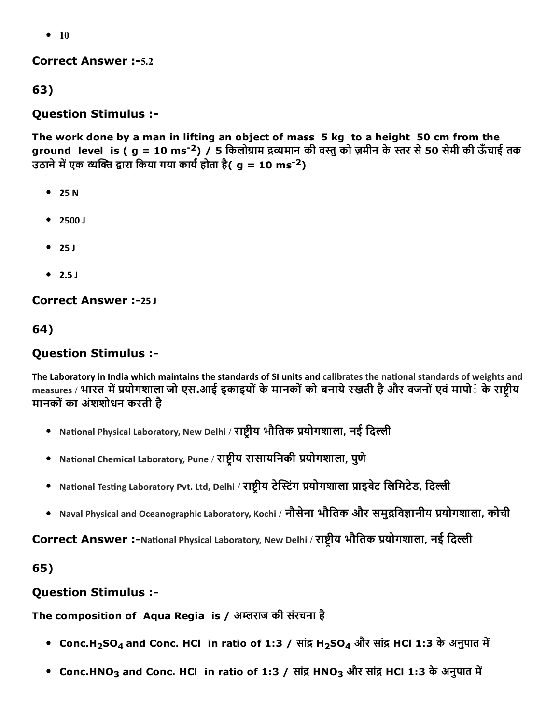$• 10$ 

**Correct Answer :-5.2** 

63)

#### Question Stimulus :

The work done by a man in lifting an object of mass 5 kg to a height 50 cm from the ground level is ( g = 10 ms<sup>-2</sup>) / 5 किलोग्राम द्रव्यमान की वस्तु को ज़मीन के स्तर से 50 सेमी की ऊँचाई तक उठाने में एक व्यक्ति द्वारा किया गया कार्य होता है( g = 10 ms<sup>-2</sup>)

- $25 N$
- 2500 J
- $-25J$
- $\bullet$  2.5 J

Correct Answer :-25 J

64)

### Question Stimulus :

The Laboratory in India which maintains the standards of SI units and calibrates the national standards of weights and measures / भारत में प्रयोगशाला जो एस.आई इकाइयों के मानकों को बनाये रखती है और वजनों एवं मापो**ं के राष्ट्रीय** मानकोंका अंशशोधन करती है

- National Physical Laboratory, New Delhi / राष्ट्रीय भौतिक प्रयोगशाला, नई दिल्ली
- National Chemical Laboratory, Pune / राष्ट्रीय रासायनिकी प्रयोगशाला, पुणे
- National Testing Laboratory Pvt. Ltd, Delhi / राष्ट्रीय टेस्टिंग प्रयोगशाला प्राइवेट लिमिटेड, दिल्ली
- Naval Physical and Oceanographic Laboratory, Kochi / नौसेना भौतिक और समुद्रविज्ञानीय प्रयोगशाला, कोची

Correct Answer :-National Physical Laboratory, New Delhi / राष्ट्रीय भौतिक प्रयोगशाला, नई दिल्ली

65)

## Question Stimulus :

#### The composition of Aqua Regia is / अम्लराज की संरचना है

- Conc.H<sub>2</sub>SO<sub>4</sub> and Conc. HCl in ratio of 1:3 / सांद्र H<sub>2</sub>SO<sub>4</sub> और सांद्र HCl 1:3 के अनुपात में
- Conc.HNO<sub>3</sub> and Conc. HCl in ratio of 1:3 / सांद्र HNO<sub>3</sub> और सांद्र HCl 1:3 के अनुपात में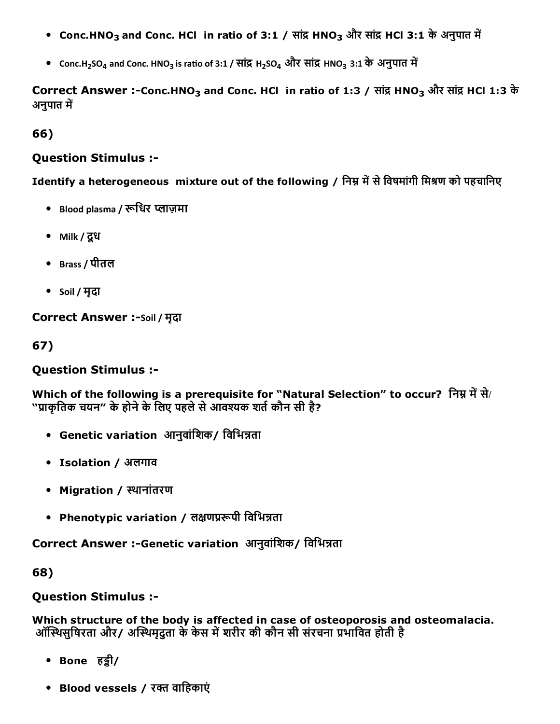- Conc.HNO<sub>3</sub> and Conc. HCl in ratio of 3:1 / सांद्र HNO<sub>3</sub> और सांद्र HCl 3:1 के अनुपात में
- Conc.H<sub>2</sub>SO<sub>4</sub> and Conc. HNO<sub>3</sub> is ratio of 3:1 / सांद्र H<sub>2</sub>SO<sub>4</sub> और सांद्र HNO<sub>3</sub> 3:1 के अनुपात में

Correct Answer :-Conc.HNO<sub>3</sub> and Conc. HCl in ratio of 1:3 / सांद्र HNO<sub>3</sub> और सांद्र HCl 1:3 के अनुपात में

66)

#### Question Stimulus :

Identify a heterogeneous mixture out of the following / निम्न में से विषमांगी मिश्रण को पहचानिए

- Blood plasma / रूधिर प्लाज़मा
- Milk / दूध
- Brass / पीतल
- Soil / मृदा

Correct Answer :-Soil / मृदा

67)

### Question Stimulus :

Which of the following is a prerequisite for "Natural Selection" to occur? निम्न में से/ "प्राकृतिक चयन" के होने के लिए पहले से आवश्यक शर्त कौन सी है?

- Genetic variation आनुवांशिक/ विभिन्नता
- Isolation / अलगाव
- Migration / थानांतरण
- Phenotypic variation / लक्षणप्ररूपी विभिन्नता

Correct Answer :-Genetic variation आनुवांशिक/ विभिन्नता

68)

## Question Stimulus :

Which structure of the body is affected in case of osteoporosis and osteomalacia. ऑस्थिसुषिरता और/ अस्थिमुदुता के केस में शरीर की कौन सी संरचना प्रभावित होती है

- Bone हड़ी/
- Blood vessels / रक्त वाहिकाएं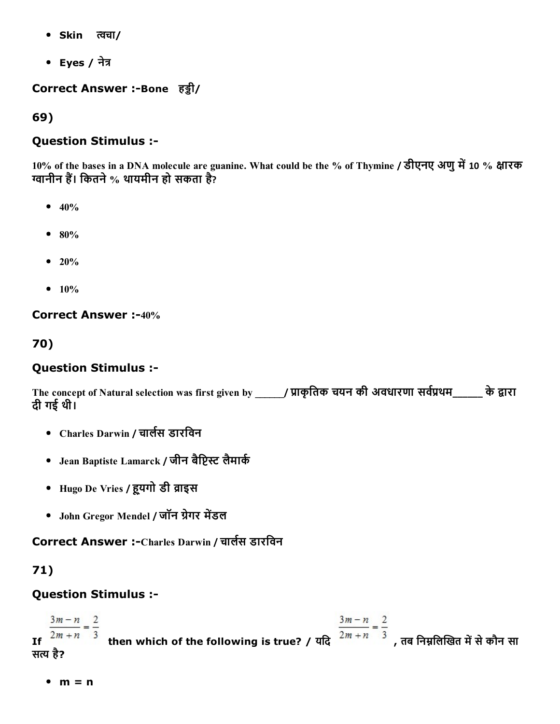- Skin त्वचा/
- Eyes / नेत्र

Correct Answer :-Bone हड़ी/

69)

### Question Stimulus :

10% of the bases in a DNA molecule are guanine. What could be the % of Thymine / डीएनए अणु में 10 % क्षारक ग्वानीन हैं। कितने % थायमीन हो सकता है?

- $-40%$
- $80%$
- $20%$
- $10%$

Correct Answer :-40%

70)

## Question Stimulus :

The concept of Natural selection was first given by \_\_\_\_\_\_/ प्राकृतिक चयन की अवधारणा सर्वप्रथम\_\_\_\_\_ के द्वारा दी गई थी।

- Charles Darwin / चार्लस डारविन
- Jean Baptiste Lamarck / जीन बैप्टिस्ट लैमार्क
- Hugo De Vries / हूयगो डी व्राइस
- John Gregor Mendel / जॉन ग्रेगर मेंडल

Correct Answer :-Charles Darwin / चार्लस डारविन

# 71)

## Question Stimulus :

 $\frac{3m-n}{2m+n} = \frac{2}{3}$ <br>If  $\frac{3m-n}{2m+n} = \frac{2}{3}$ , तब निम्नलिखित में से कौन सा  $\frac{3m-n}{2} = \frac{2}{3}$ सत्य है?

 $m = n$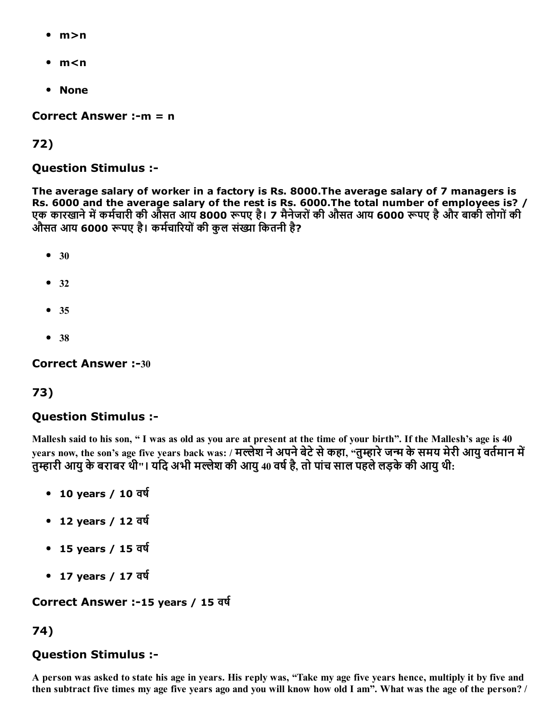- m>n
- m<n
- None

Correct Answer :- $m = n$ 

72)

#### Question Stimulus :

The average salary of worker in a factory is Rs. 8000.The average salary of 7 managers is Rs. 6000 and the average salary of the rest is Rs. 6000.The total number of employees is? / एक कारखाने में कर्मचारी की औसत आय 8000 रूपए है। 7 मैनेजरों की औसत आय 6000 रूपए है और बाकी लोगों की औसत आय 6000 रूपए है। कर्मचारियों की कल संख्या कितनी है?

- $30$
- $32$
- 35
- 38

Correct Answer :-30

#### 73)

#### Question Stimulus :

Mallesh said to his son, " I was as old as you are at present at the time of your birth". If the Mallesh's age is 40 years now, the son's age five years back was: / मल्लेश ने अपने बेटे से कहा, "तुम्हारे जन्म के समय मेरी आयु वर्तमान में तुम्हारी आयु के बराबर थी"। यदि अभी मल्लेश की आयु 40 वर्ष है, तो पांच साल पहले लड़के की आयु थी:

- $\cdot$  10 years / 10 वर्ष
- $\cdot$  12 years / 12 वर्ष
- 15 years / 15 वर्ष
- 17 years / 17 वर्ष

Correct Answer :-15 years / 15 वर्ष

#### 74)

#### Question Stimulus :

A person was asked to state his age in years. His reply was, "Take my age five years hence, multiply it by five and then subtract five times my age five years ago and you will know how old I am". What was the age of the person? /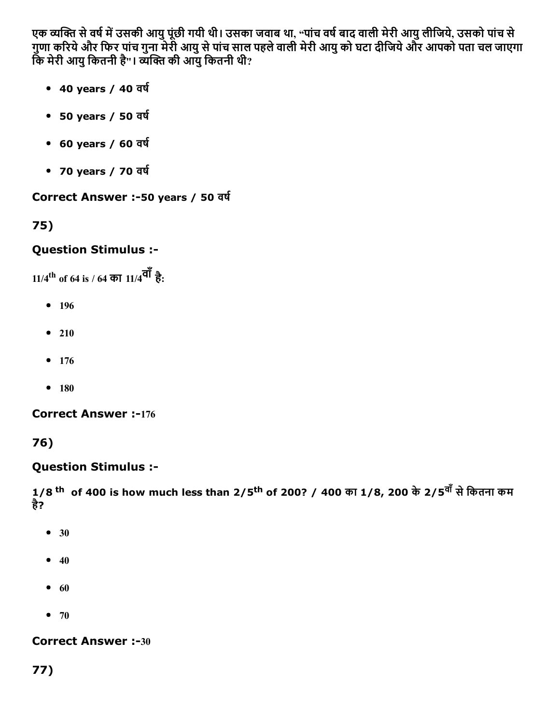एक व्यक्ति से वर्ष में उसकी आयु पूंछी गयी थी। उसका जवाब था, "पांच वर्ष बाद वाली मेरी आयु लीजिये, उसको पांच से गुणा कδरयेऔर िफर पांच गुना मेरी आयुसेपांच साल पहलेवाली मेरी आयुको घटा दीिजयेऔर आपको पता चल जाएगा कि मेरी आयु कितनी है"। व्यक्ति की आयु कितनी थी?

- $\bullet$  40 years / 40 वर्ष
- 50 years / 50 वर्ष
- $\cdot$  60 years / 60 वर्ष
- 70 years / 70 वर्ष

Correct Answer :-50 years / 50 वर्ष

75)

# Question Stimulus :

11/4 th of 64 is / 64 का 11/4वाँहै:

- 196
- $210$
- $176$
- $180$

**Correct Answer :-176** 

76)

# Question Stimulus :

1/8 <sup>th</sup> of 400 is how much less than 2/5<sup>th</sup> of 200? / 400 का 1/8, 200 के 2/5<sup>वों</sup> से कितना कम है?

- 30
- $40$
- $60$
- $70$

**Correct Answer :-30** 

77)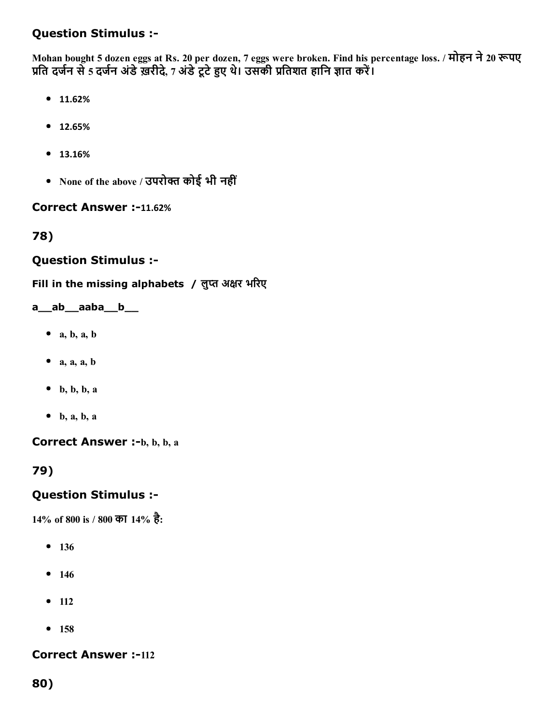## Question Stimulus :

Mohan bought 5 dozen eggs at Rs. 20 per dozen, 7 eggs were broken. Find his percentage loss. / मोहन ने 20 रूपए प्रति दर्जन से 5 दर्जन अंडे ख़रीदे, 7 अंडे टूटे हुए थे। उसकी प्रतिशत हानि ज्ञात करें।

- 11.62%
- 12.65%
- 13.16%
- None of the above / उपरोक्त कोई भी नहीं

#### Correct Answer :-11.62%

78)

#### Question Stimulus :

Fill in the missing alphabets / लुप्त अक्षर भरिए

#### a\_\_ab\_\_aaba\_\_b\_\_

- $\bullet$  a, b, a, b
- $\bullet$  a, a, a, b
- $\bullet$  b, b, b, a
- $\bullet$  b, a, b, a

Correct Answer :-b, b, b, a

79)

#### Question Stimulus :

14% of 800 is / 800 का 14% है:

- 136
- $146$
- $-112$
- 158

**Correct Answer :-112** 

80)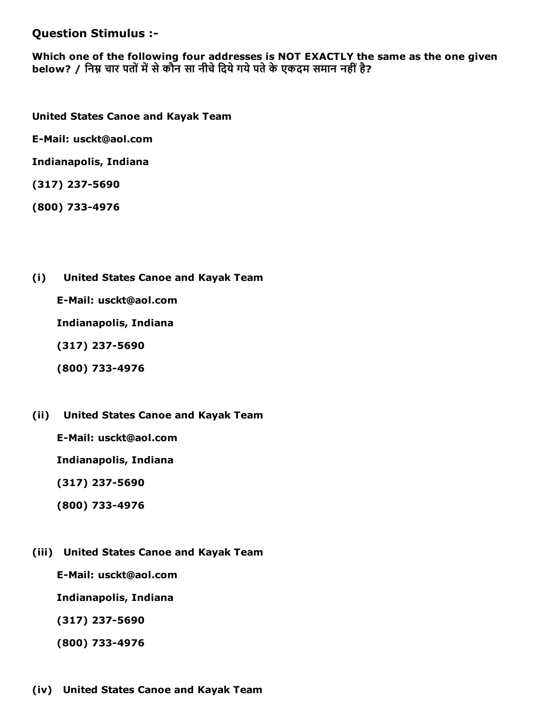Question Stimulus :

Which one of the following four addresses is NOT EXACTLY the same as the one given below? / निम्न चार पतों में से कौन सा नीचे दिये गये पते के एकदम समान नहीं है?

United States Canoe and Kayak Team

E-Mail: usckt@aol.com

Indianapolis, Indiana

(317) 237-5690

(800) 7334976

(i) United States Canoe and Kayak Team

E-Mail: usckt@aol.com

Indianapolis, Indiana

 $(317)$  237-5690

- (800) 7334976
- (ii) United States Canoe and Kayak Team

E-Mail: usckt@aol.com

Indianapolis, Indiana

(317) 237-5690

- (800) 7334976
- (iii) United States Canoe and Kayak Team

E-Mail: usckt@aol.com

Indianapolis, Indiana

 $(317)$  237-5690

(800) 7334976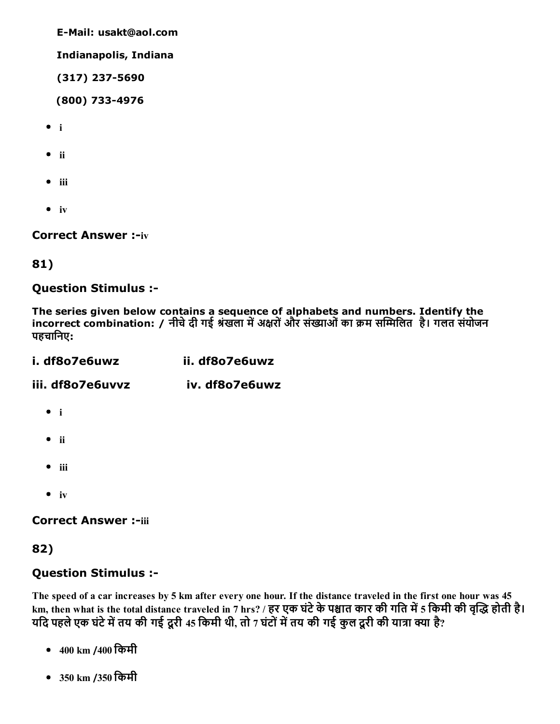E-Mail: usakt@aol.com

Indianapolis, Indiana

(317) 237-5690

(800) 7334976

- $\bullet$  i
- $\bullet$  ii
- $\bullet$  iii
- $\bullet$  iv

**Correct Answer :- iv** 

#### 81)

Question Stimulus :

The series given below contains a sequence of alphabets and numbers. Identify the incorrect combination: / नीचे दी गई श्रंखला में अक्षरों और संख्याओं का क्रम सम्मिलित है। गलत संयोजन पहचािनए:

| i. df8o7e6uwz    | ii. df8o7e6uwz |
|------------------|----------------|
| iii. df8o7e6uvvz | iv. df8o7e6uwz |
| $\bullet$ i      |                |
| $\bullet$ ii     |                |

- $\bullet$  iii
- $\bullet$  iv

**Correct Answer :-iii** 

#### 82)

#### Question Stimulus :

The speed of a car increases by 5 km after every one hour. If the distance traveled in the first one hour was 45 km, then what is the total distance traveled in 7 hrs? / हर एक घंटे के पश्चात कार की गति में 5 किमी की वृद्धि होती है। यदि पहले एक घंटे में तय की गई दूरी 45 किमी थी, तो 7 घंटों में तय की गई कुल दूरी की यात्रा क्या है?

- 400 km /400 िकमी
- 350 km /350 िकमी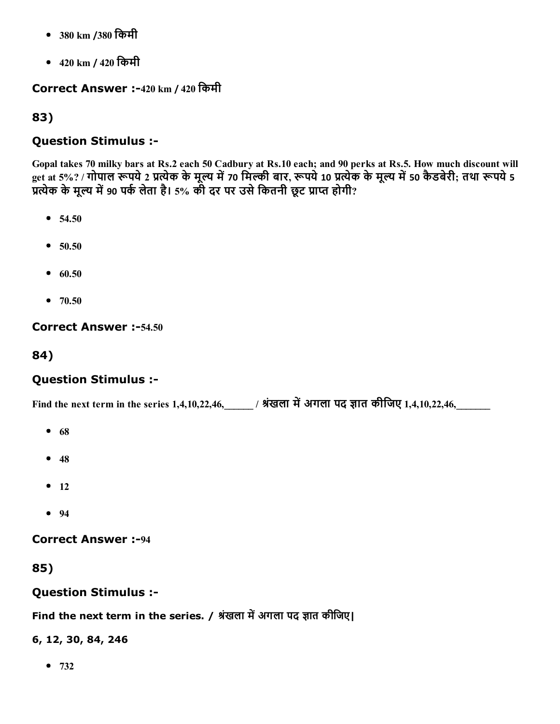- 380 km /380 िकमी
- 420 km / 420 िकमी

## Correct Answer :420 km / 420 िकमी

## 83)

## Question Stimulus :

Gopal takes 70 milky bars at Rs.2 each 50 Cadbury at Rs.10 each; and 90 perks at Rs.5. How much discount will get at 5%? / गोपाल रूपये 2 प्रत्येक के मूल्य में 70 मिल्की बार, रूपये 10 प्रत्येक के मूल्य में 50 कैडबेरी; तथा रूपये 5 प्रत्येक के मूल्य में 90 पर्क लेता है। 5% की दर पर उसे कितनी छूट प्राप्त होगी?

- $54.50$
- $50.50$
- $60.50$
- $70.50$

## Correct Answer :-54.50

84)

# Question Stimulus :

Find the next term in the series 1,4,10,22,46, \_\_\_\_\_ / श्रंखला में अगला पद ज्ञात कीजिए 1,4,10,22,46,

- $68$
- $48$
- $-12$
- $94$

**Correct Answer :-94** 

85)

## Question Stimulus :

Find the next term in the series. / श्रंखला में अगला पद ज्ञात कीजिए।

6, 12, 30, 84, 246

 $• 732$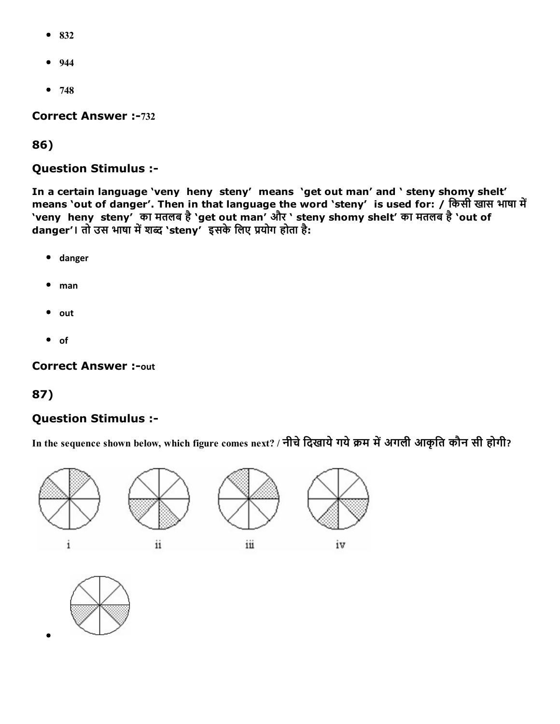- 832
- $944$
- $748$

**Correct Answer :-732** 

86)

Question Stimulus :

In a certain language 'veny heny steny' means 'get out man' and ' steny shomy shelt' means 'out of danger'. Then in that language the word 'steny' is used for: / किसी खास भाषा में 'veny heny steny' का मतलब है'get out man' और ' steny shomy shelt' का मतलब है'out of danger'। तो उस भाषा में शब्द 'steny' इसके लिए प्रयोग होता है:

- danger
- $•$  man
- $\bullet$  out
- $\bullet$  of

**Correct Answer :- out** 

#### 87)

#### Question Stimulus :

In the sequence shown below, which figure comes next? / नीचे दिखाये गये क्रम में अगली आकृति कौन सी होगी?



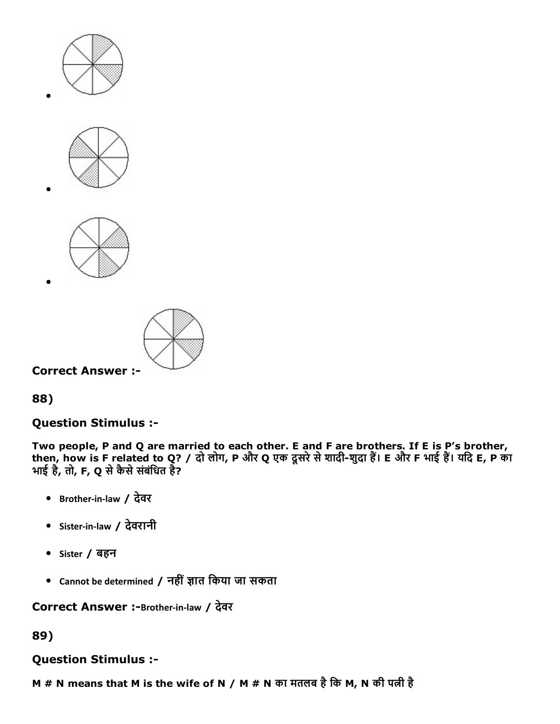







## Question Stimulus :

Two people, P and Q are married to each other. E and F are brothers. If E is P's brother, then, how is F related to Q? / दो लोग, P और Q एक दूसरे से शादी-शुदा हैं। E और F भाई हैं। यदि E, P का भाई है, तो, F, Q से कैसे संबंधित है?

- Brother‐in‐law / देवर
- Sister‐in‐law / देवरानी
- Sister / बहन
- Cannot be determined / नहीं ज्ञात किया जा सकता

Correct Answer :-Brother-in-law / देवर

### 89)

#### Question Stimulus :

M # N means that M is the wife of N / M # N का मतलब है कि M, N की पत्नी है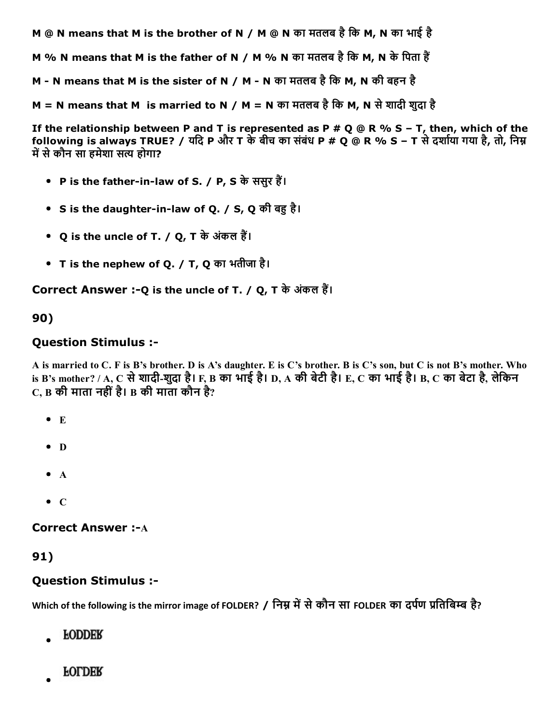M @ N means that M is the brother of N / M @ N का मतलब हैिक M, N का भाई है

M % N means that M is the father of N / M % N का मतलब है कि M, N के पिता हैं

M - N means that M is the sister of N / M - N का मतलब है कि M, N की बहन है

M = N means that M is married to N / M = N का मतलब है कि M, N से शादी शुदा है

If the relationship between P and T is represented as P # Q @ R % S - T, then, which of the following is always TRUE? / यदि P और T के बीच का संबंध P # Q @ R % S - T से दर्शाया गया है, तो, निम्न में से कौन सा हमेशा सत्य होगा?

- P is the father-in-law of S. / P, S के ससुर हैं।
- S is the daughter-in-law of Q. / S, Q की बह है।
- Q is the uncle of T. / Q, T के अंकल हैं।
- T is the nephew of Q. / T, Q का भतीजा है।

Correct Answer :- Q is the uncle of T. / Q, T के अंकल हैं।

#### 90)

#### Question Stimulus :

A is married to C. F is B's brother. D is A's daughter. E is C's brother. B is C's son, but C is not B's mother. Who is B's mother? / A, C से शादी-शुदा है। F, B का भाई है। D, A की बेटी है। E, C का भाई है। B, C का बेटा है, लेकिन C, B की माता नहींहै। B की माता कौन है?

- $\bullet$  E
- $\bullet$  D
- $\bullet$  A
- $\bullet$  C

**Correct Answer :- A** 

91)

#### Question Stimulus :

Which of the following is the mirror image of FOLDER? / निम्न में से कौन सा FOLDER का दर्पण प्रतिबिम्ब है?

- **FODDER**
- **FOLDER**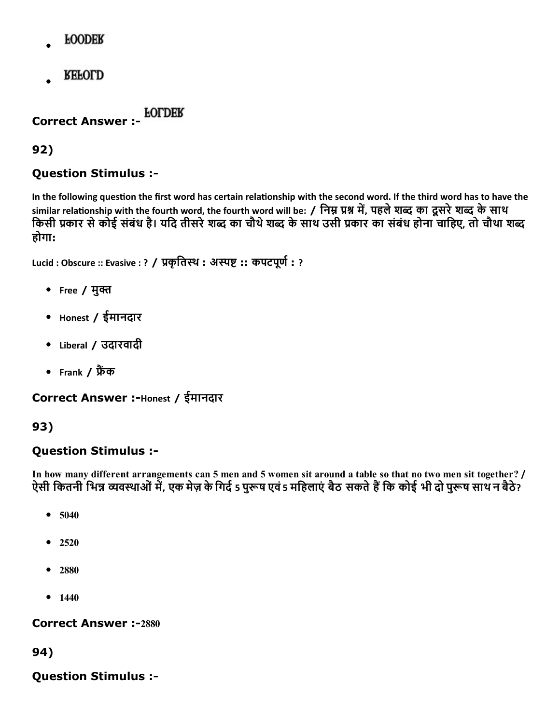- **FOODER**
- **REFOLD**

Correct Answer :

92)

## Question Stimulus :

In the following question the first word has certain relationship with the second word. If the third word has to have the similar relationship with the fourth word, the fourth word will be: / निम्न प्रश्न में, पहले शब्द का दूसरे शब्द के साथ किसी प्रकार से कोई संबंध है। यदि तीसरे शब्द का चौथे शब्द के साथ उसी प्रकार का संबंध होना चाहिए, तो चौथा शब्द होगा:

Lucid : Obscure :: Evasive : ? / प्रकृतिस्थ : अस्पष्ट :: कपटपूर्ण : ?

- Free / मुक्त
- Honest / ईमानदार
- Liberal / उदारवादी
- Frank / फ्रैंक

Correct Answer :-Honest / ईमानदार

# 93)

## Question Stimulus :

In how many different arrangements can 5 men and 5 women sit around a table so that no two men sit together? / ऐसी कितनी भिन्न व्यवस्थाओं में, एक मेज़ के गिर्द 5 पुरूष एवं 5 महिलाएं बैठ सकते हैं कि कोई भी दो पुरूष साथ न बैठे?

- 5040  $\bullet$
- 2520  $\bullet$
- 2880
- $1440$

**Correct Answer :-2880** 

94)

Question Stimulus :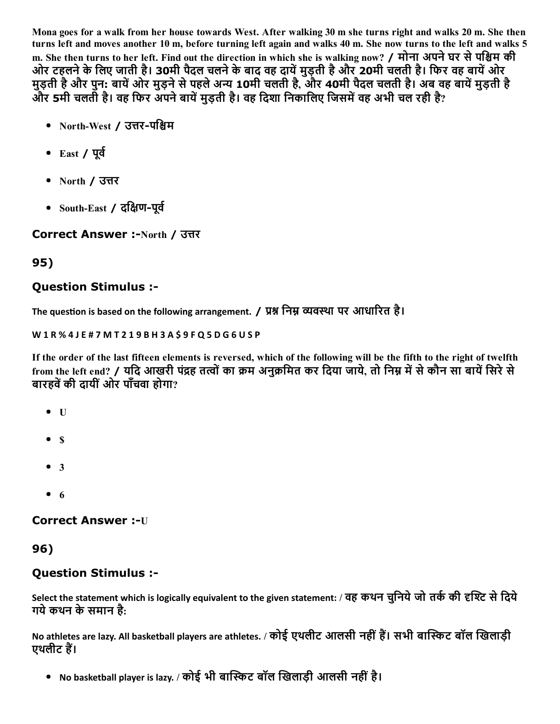Mona goes for a walk from her house towards West. After walking 30 m she turns right and walks 20 m. She then turns left and moves another 10 m, before turning left again and walks 40 m. She now turns to the left and walks 5 m. She then turns to her left. Find out the direction in which she is walking now? / मोना अपने घर से पश्चिम की ओर टहलने के लिए जाती है। 30मी पैदल चलने के बाद वह दायें मुड़ती है और 20मी चलती है। फिर वह बायें ओर मुड़ती है और पुन: बायें ओर मुड़ने से पहले अन्य 10मी चलती है, और 40मी पैदल चलती है। अब वह बायें मुड़ती है और 5मी चलती है। वह फिर अपने बायें मुड़ती है। वह दिशा निकालिए जिसमें वह अभी चल रही है?

- North-West / उत्तर-पश्चिम
- $\bullet$  East / पूर्व
- $\bullet$  North / उत्तर
- $\bullet$  South-East / दक्षिण-पूर्व

## Correct Answer :-North / उत्तर

# 95)

# Question Stimulus :

The question is based on the following arrangement. / प्रश्न निम्न व्यवस्था पर आधारित है।

W 1 R % 4 J E # 7 M T 2 1 9 B H 3 A \$ 9 F Q 5 D G 6 U S P

If the order of the last fifteen elements is reversed, which of the following will be the fifth to the right of twelfth from the left end? / यदि आखरी पंद्रह तत्वों का क्रम अनुक्रमित कर दिया जाये, तो निम्न में से कौन सा बायें सिरे से बारहवें की दायीं ओर पाँचवा होगा?

- $\bullet$  U
- $\bullet$  \$
- $3$
- $\bullet$  6

## **Correct Answer :- U**

## 96)

# Question Stimulus :

Select the statement which is logically equivalent to the given statement: / वह कथन चुनिये जो तर्क की दृश्टि से दिये गयेकथन केसमान है:

No athletes are lazy. All basketball players are athletes. / कोई एथलीट आलसी नहीं हैं। सभी बास्किट बॉल खिलाड़ी एथलीट हैं।

• No basketball player is lazy. / कोई भी बास्किट बॉल खिलाड़ी आलसी नहीं है।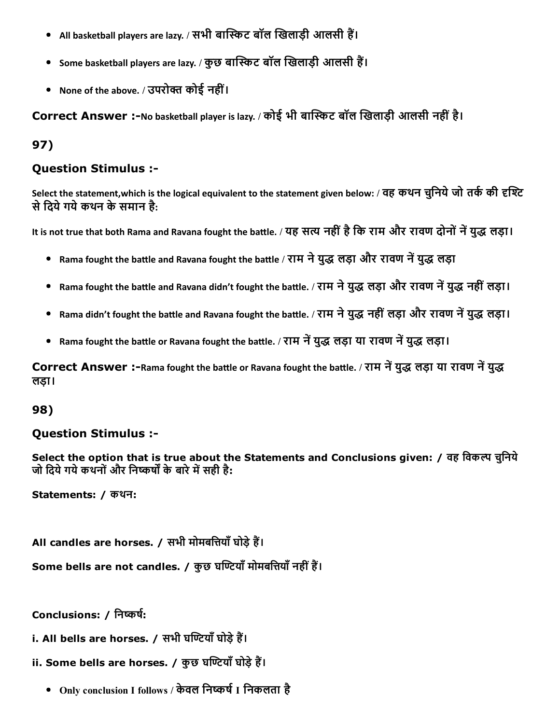- All basketball players are lazy. / सभी बास्किट बॉल खिलाड़ी आलसी हैं।
- Some basketball players are lazy. / कुछ बास्किट बॉल खिलाड़ी आलसी हैं।
- None of the above. / उपरोक्त कोई नहीं।

Correct Answer :-No basketball player is lazy. / कोई भी बास्किट बॉल खिलाड़ी आलसी नहीं है।

## 97)

#### Question Stimulus :

Select the statement,which is the logical equivalent to the statement given below: / वह कथन चुनिये जो तर्क की दृश्टि से दिये गये कथन के समान है:

It is not true that both Rama and Ravana fought the battle. / यह सत्य नहीं है कि राम और रावण दोनों नें युद्ध लड़ा।

- Rama fought the battle and Ravana fought the battle / राम ने युद्ध लड़ा और रावण नें युद्ध लड़ा
- Rama fought the battle and Ravana didn't fought the battle. / राम ने युद्ध लड़ा और रावण नें युद्ध नहीं लड़ा।
- Rama didn't fought the battle and Ravana fought the battle. / राम ने युद्ध नहीं लड़ा और रावण नें युद्ध लड़ा।
- Rama fought the battle or Ravana fought the battle. / राम नें युद्ध लड़ा या रावण नें युद्ध लड़ा।

Correct Answer :-Rama fought the battle or Ravana fought the battle. / राम नें युद्ध लड़ा या रावण नें युद्ध लड़ा।

#### 98)

#### Question Stimulus :

Select the option that is true about the Statements and Conclusions given: / वह विकल्प चुनिये जो दिये गये कथनों और निष्कर्षों के बारे में सही है:

Statements: / कथन:

All candles are horses. / सभी मोमबत्तियाँ घोड़े हैं।

Some bells are not candles. / कुछ घण्टियाँ मोमबत्तियाँ नहीं हैं।

Conclusions: / निष्कर्ष:

i. All bells are horses. / सभी घण्टियाँ घोड़े हैं।

ii. Some bells are horses. / कुछ घण्टियाँ घोड़े हैं।

• Only conclusion I follows / केवल निष्कर्ष I निकलता है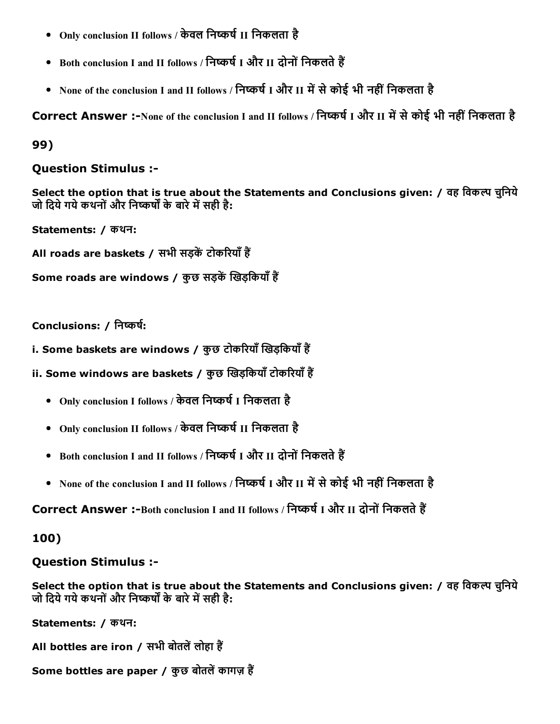- Only conclusion II follows / केवल निष्कर्ष II निकलता है
- Both conclusion I and II follows / निष्कर्ष I और II दोनों निकलते हैं
- None of the conclusion I and II follows / निष्कर्ष I और II में से कोई भी नहीं निकलता है

Correct Answer :-None of the conclusion I and II follows / निष्कर्ष I और II में से कोई भी नहीं निकलता है

## 99)

#### Question Stimulus :

Select the option that is true about the Statements and Conclusions given: / वह विकल्प चुनिये जो दिये गये कथनों और निष्कर्षों के बारे में सही है:

Statements: / कथन:

All roads are baskets / सभी सड़कें टोकरियाँ हैं

```
Some roads are windows / कुछ सड़कें खिड़कियाँ हैं
```
#### Conclusions: / निष्कर्ष:

- i. Some baskets are windows / कुछ टोकरियाँ खिड़कियाँ हैं
- ii. Some windows are baskets / कुछ खिड़कियाँ टोकरियाँ हैं
	- Only conclusion I follows / केवल निष्कर्ष I निकलता है
	- Only conclusion II follows / केवल निष्कर्ष II निकलता है
	- Both conclusion I and II follows / निष्कर्ष I और II दोनों निकलते हैं
	- None of the conclusion I and II follows / निष्कर्ष I और II में से कोई भी नहीं निकलता है

Correct Answer :-Both conclusion I and II follows / निष्कर्ष I और II दोनों निकलते हैं

## 100)

## Question Stimulus :

Select the option that is true about the Statements and Conclusions given: / वह विकल्प चुनिये जो दिये गये कथनों और निष्कर्षों के बारे में सही है:

Statements: / कथन:

All bottles are iron / सभी बोतलें लोहा हैं

Some bottles are paper / कुछ बोतलें कागज़ हैं